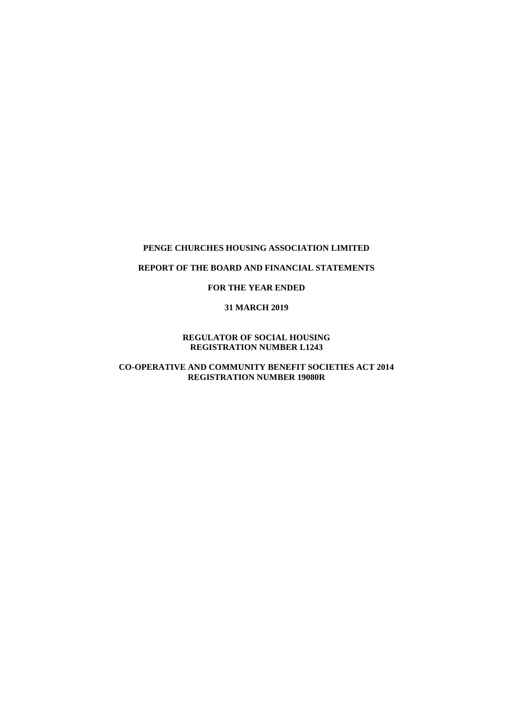## **REPORT OF THE BOARD AND FINANCIAL STATEMENTS**

## **FOR THE YEAR ENDED**

#### **31 MARCH 2019**

## **REGULATOR OF SOCIAL HOUSING REGISTRATION NUMBER L1243**

# **CO-OPERATIVE AND COMMUNITY BENEFIT SOCIETIES ACT 2014 REGISTRATION NUMBER 19080R**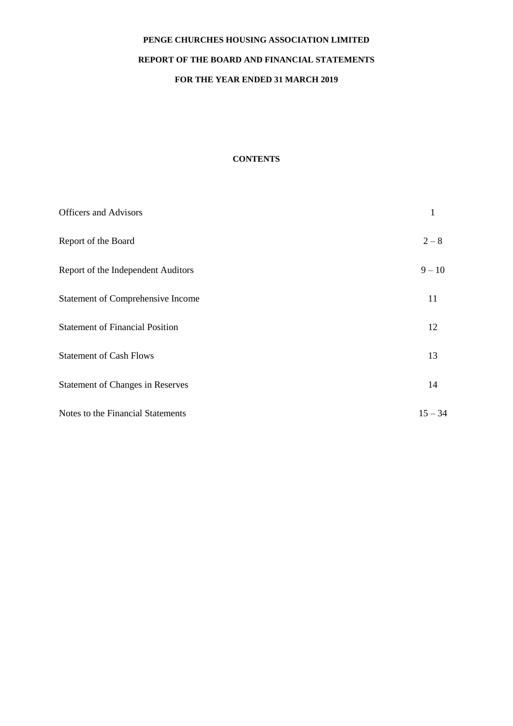# **REPORT OF THE BOARD AND FINANCIAL STATEMENTS**

# **FOR THE YEAR ENDED 31 MARCH 2019**

# **CONTENTS**

| <b>Officers and Advisors</b>            | 1         |
|-----------------------------------------|-----------|
| Report of the Board                     | $2 - 8$   |
| Report of the Independent Auditors      | $9 - 10$  |
| Statement of Comprehensive Income       | 11        |
| <b>Statement of Financial Position</b>  | 12        |
| <b>Statement of Cash Flows</b>          | 13        |
| <b>Statement of Changes in Reserves</b> | 14        |
| Notes to the Financial Statements       | $15 - 34$ |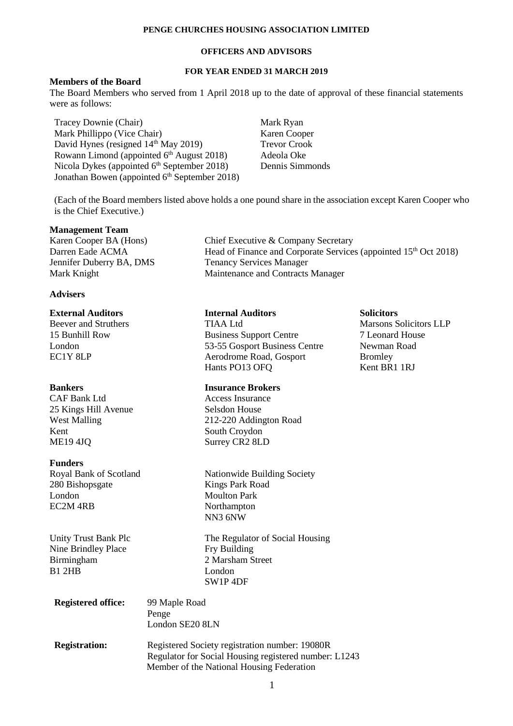## **OFFICERS AND ADVISORS**

# **FOR YEAR ENDED 31 MARCH 2019**

## **Members of the Board**

The Board Members who served from 1 April 2018 up to the date of approval of these financial statements were as follows:

Tracey Downie (Chair) Mark Ryan Mark Phillippo (Vice Chair) Karen Cooper<br>
David Hynes (resigned 14<sup>th</sup> May 2019) Trevor Crook David Hynes (resigned  $14<sup>th</sup>$  May 2019) Rowann Limond (appointed 6<sup>th</sup> August 2018) Adeola Oke Nicola Dykes (appointed 6<sup>th</sup> September 2018) Dennis Simmonds Jonathan Bowen (appointed 6<sup>th</sup> September 2018)

(Each of the Board members listed above holds a one pound share in the association except Karen Cooper who is the Chief Executive.)

#### **Management Team**

Karen Cooper BA (Hons) Darren Eade ACMA Jennifer Duberry BA, DMS Mark Knight

# **Advisers**

CAF Bank Ltd Access Insurance 25 Kings Hill Avenue Selsdon House<br>West Malling 212-220 Addin Kent South Croydon ME19 4JQ Surrey CR2 8LD

#### **Funders**

280 Bishopsgate Kings Park Road London Moulton Park EC2M 4RB Northampton

Nine Brindley Place Fry Building Birmingham 2 Marsham Street B1 2HB London

| Chief Executive & Company Secretary                                          |
|------------------------------------------------------------------------------|
| Head of Finance and Corporate Services (appointed 15 <sup>th</sup> Oct 2018) |
| <b>Tenancy Services Manager</b>                                              |
| Maintenance and Contracts Manager                                            |

#### **External Auditors Internal Auditors Solicitors**

Beever and Struthers TIAA Ltd Marsons Solicitors LLP 15 Bunhill Row Business Support Centre 7 Leonard House London 53-55 Gosport Business Centre Newman Road EC1Y 8LP Aerodrome Road, Gosport Bromley<br>Hants PO13 OFO Kent BR1 1RI Hants PO13 OFQ

### **Bankers Insurance Brokers**

212-220 Addington Road

Royal Bank of Scotland Nationwide Building Society NN3 6NW

Unity Trust Bank Plc The Regulator of Social Housing SW1P 4DF

| <b>Registered office:</b> | 99 Maple Road<br>Penge<br>London SE20 8LN                                                                                                            |
|---------------------------|------------------------------------------------------------------------------------------------------------------------------------------------------|
| <b>Registration:</b>      | Registered Society registration number: 19080R<br>Regulator for Social Housing registered number: L1243<br>Member of the National Housing Federation |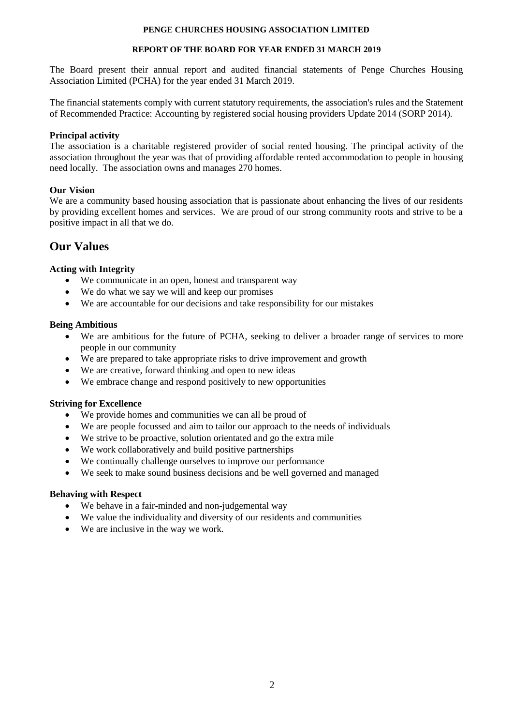# **REPORT OF THE BOARD FOR YEAR ENDED 31 MARCH 2019**

The Board present their annual report and audited financial statements of Penge Churches Housing Association Limited (PCHA) for the year ended 31 March 2019.

The financial statements comply with current statutory requirements, the association's rules and the Statement of Recommended Practice: Accounting by registered social housing providers Update 2014 (SORP 2014).

# **Principal activity**

The association is a charitable registered provider of social rented housing. The principal activity of the association throughout the year was that of providing affordable rented accommodation to people in housing need locally. The association owns and manages 270 homes.

# **Our Vision**

We are a community based housing association that is passionate about enhancing the lives of our residents by providing excellent homes and services. We are proud of our strong community roots and strive to be a positive impact in all that we do.

# **Our Values**

# **Acting with Integrity**

- We communicate in an open, honest and transparent way
- We do what we say we will and keep our promises
- We are accountable for our decisions and take responsibility for our mistakes

# **Being Ambitious**

- We are ambitious for the future of PCHA, seeking to deliver a broader range of services to more people in our community
- We are prepared to take appropriate risks to drive improvement and growth
- We are creative, forward thinking and open to new ideas
- We embrace change and respond positively to new opportunities

# **Striving for Excellence**

- We provide homes and communities we can all be proud of
- We are people focussed and aim to tailor our approach to the needs of individuals
- We strive to be proactive, solution orientated and go the extra mile
- We work collaboratively and build positive partnerships
- We continually challenge ourselves to improve our performance
- We seek to make sound business decisions and be well governed and managed

# **Behaving with Respect**

- We behave in a fair-minded and non-judgemental way
- We value the individuality and diversity of our residents and communities
- We are inclusive in the way we work.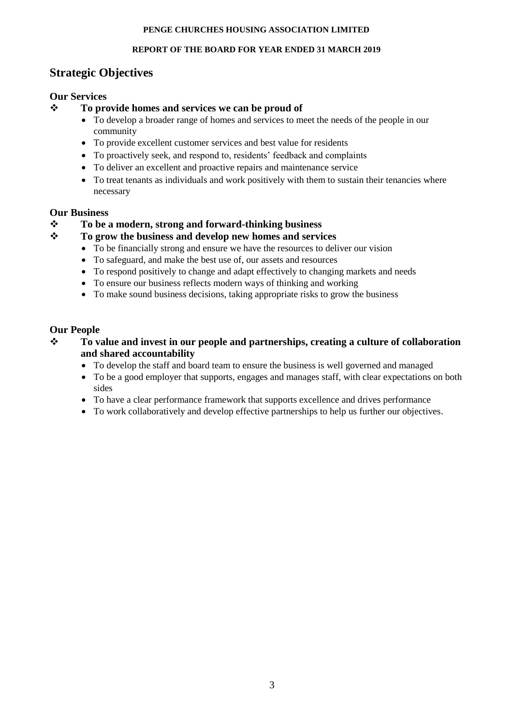# **REPORT OF THE BOARD FOR YEAR ENDED 31 MARCH 2019**

# **Strategic Objectives**

# **Our Services**

# **To provide homes and services we can be proud of**

- To develop a broader range of homes and services to meet the needs of the people in our community
- To provide excellent customer services and best value for residents
- To proactively seek, and respond to, residents' feedback and complaints
- To deliver an excellent and proactive repairs and maintenance service
- To treat tenants as individuals and work positively with them to sustain their tenancies where necessary

# **Our Business**

**To be a modern, strong and forward-thinking business**

# **To grow the business and develop new homes and services**

- To be financially strong and ensure we have the resources to deliver our vision
- To safeguard, and make the best use of, our assets and resources
- To respond positively to change and adapt effectively to changing markets and needs
- To ensure our business reflects modern ways of thinking and working
- To make sound business decisions, taking appropriate risks to grow the business

# **Our People**

- **To value and invest in our people and partnerships, creating a culture of collaboration and shared accountability**
	- To develop the staff and board team to ensure the business is well governed and managed
	- To be a good employer that supports, engages and manages staff, with clear expectations on both sides
	- To have a clear performance framework that supports excellence and drives performance
	- To work collaboratively and develop effective partnerships to help us further our objectives.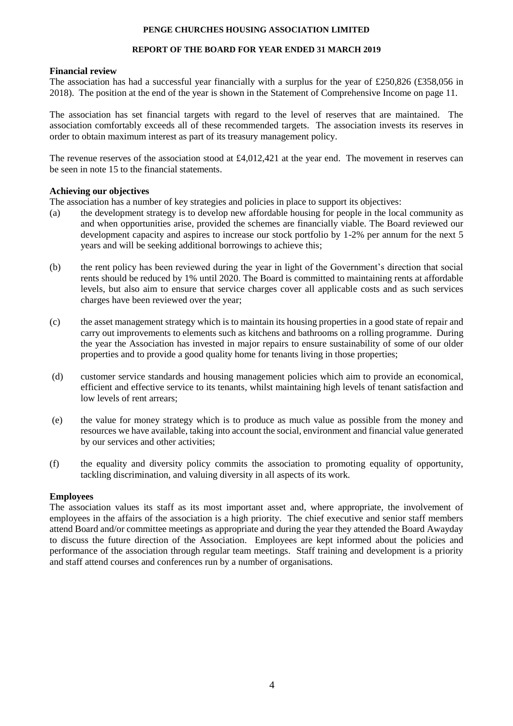# **REPORT OF THE BOARD FOR YEAR ENDED 31 MARCH 2019**

# **Financial review**

The association has had a successful year financially with a surplus for the year of £250,826 (£358,056 in 2018). The position at the end of the year is shown in the Statement of Comprehensive Income on page 11.

The association has set financial targets with regard to the level of reserves that are maintained. The association comfortably exceeds all of these recommended targets. The association invests its reserves in order to obtain maximum interest as part of its treasury management policy.

The revenue reserves of the association stood at  $\text{\pounds}4,012,421$  at the year end. The movement in reserves can be seen in note 15 to the financial statements.

# **Achieving our objectives**

The association has a number of key strategies and policies in place to support its objectives:

- (a) the development strategy is to develop new affordable housing for people in the local community as and when opportunities arise, provided the schemes are financially viable. The Board reviewed our development capacity and aspires to increase our stock portfolio by 1-2% per annum for the next 5 years and will be seeking additional borrowings to achieve this;
- (b) the rent policy has been reviewed during the year in light of the Government's direction that social rents should be reduced by 1% until 2020. The Board is committed to maintaining rents at affordable levels, but also aim to ensure that service charges cover all applicable costs and as such services charges have been reviewed over the year;
- (c) the asset management strategy which is to maintain its housing properties in a good state of repair and carry out improvements to elements such as kitchens and bathrooms on a rolling programme. During the year the Association has invested in major repairs to ensure sustainability of some of our older properties and to provide a good quality home for tenants living in those properties;
- (d) customer service standards and housing management policies which aim to provide an economical, efficient and effective service to its tenants, whilst maintaining high levels of tenant satisfaction and low levels of rent arrears;
- (e) the value for money strategy which is to produce as much value as possible from the money and resources we have available, taking into account the social, environment and financial value generated by our services and other activities;
- (f) the equality and diversity policy commits the association to promoting equality of opportunity, tackling discrimination, and valuing diversity in all aspects of its work.

# **Employees**

The association values its staff as its most important asset and, where appropriate, the involvement of employees in the affairs of the association is a high priority. The chief executive and senior staff members attend Board and/or committee meetings as appropriate and during the year they attended the Board Awayday to discuss the future direction of the Association. Employees are kept informed about the policies and performance of the association through regular team meetings. Staff training and development is a priority and staff attend courses and conferences run by a number of organisations.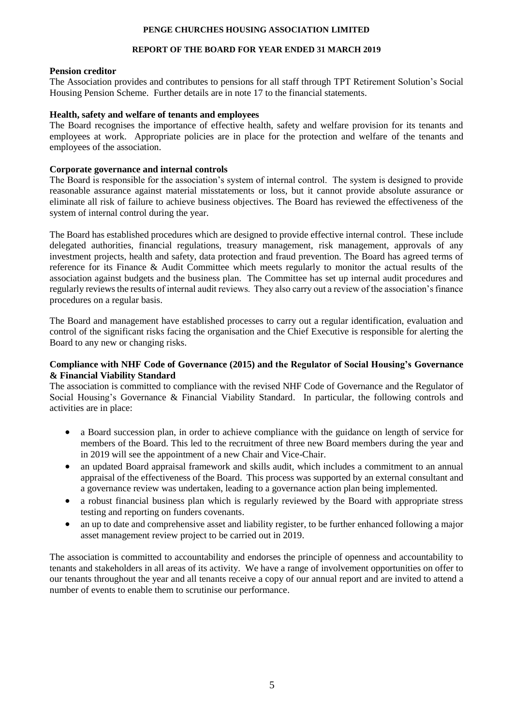# **REPORT OF THE BOARD FOR YEAR ENDED 31 MARCH 2019**

# **Pension creditor**

The Association provides and contributes to pensions for all staff through TPT Retirement Solution's Social Housing Pension Scheme. Further details are in note 17 to the financial statements.

# **Health, safety and welfare of tenants and employees**

The Board recognises the importance of effective health, safety and welfare provision for its tenants and employees at work. Appropriate policies are in place for the protection and welfare of the tenants and employees of the association.

# **Corporate governance and internal controls**

The Board is responsible for the association's system of internal control. The system is designed to provide reasonable assurance against material misstatements or loss, but it cannot provide absolute assurance or eliminate all risk of failure to achieve business objectives. The Board has reviewed the effectiveness of the system of internal control during the year.

The Board has established procedures which are designed to provide effective internal control. These include delegated authorities, financial regulations, treasury management, risk management, approvals of any investment projects, health and safety, data protection and fraud prevention. The Board has agreed terms of reference for its Finance & Audit Committee which meets regularly to monitor the actual results of the association against budgets and the business plan. The Committee has set up internal audit procedures and regularly reviews the results of internal audit reviews. They also carry out a review of the association's finance procedures on a regular basis.

The Board and management have established processes to carry out a regular identification, evaluation and control of the significant risks facing the organisation and the Chief Executive is responsible for alerting the Board to any new or changing risks.

# **Compliance with NHF Code of Governance (2015) and the Regulator of Social Housing's Governance & Financial Viability Standard**

The association is committed to compliance with the revised NHF Code of Governance and the Regulator of Social Housing's Governance & Financial Viability Standard. In particular, the following controls and activities are in place:

- a Board succession plan, in order to achieve compliance with the guidance on length of service for members of the Board. This led to the recruitment of three new Board members during the year and in 2019 will see the appointment of a new Chair and Vice-Chair.
- an updated Board appraisal framework and skills audit, which includes a commitment to an annual appraisal of the effectiveness of the Board. This process was supported by an external consultant and a governance review was undertaken, leading to a governance action plan being implemented.
- a robust financial business plan which is regularly reviewed by the Board with appropriate stress testing and reporting on funders covenants.
- an up to date and comprehensive asset and liability register, to be further enhanced following a major asset management review project to be carried out in 2019.

The association is committed to accountability and endorses the principle of openness and accountability to tenants and stakeholders in all areas of its activity. We have a range of involvement opportunities on offer to our tenants throughout the year and all tenants receive a copy of our annual report and are invited to attend a number of events to enable them to scrutinise our performance.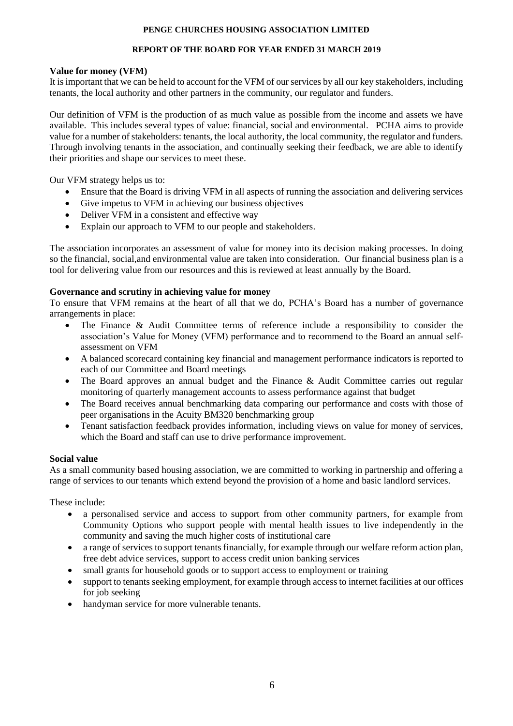# **REPORT OF THE BOARD FOR YEAR ENDED 31 MARCH 2019**

# **Value for money (VFM)**

It is important that we can be held to account for the VFM of our services by all our key stakeholders, including tenants, the local authority and other partners in the community, our regulator and funders.

Our definition of VFM is the production of as much value as possible from the income and assets we have available. This includes several types of value: financial, social and environmental. PCHA aims to provide value for a number of stakeholders: tenants, the local authority, the local community, the regulator and funders. Through involving tenants in the association, and continually seeking their feedback, we are able to identify their priorities and shape our services to meet these.

Our VFM strategy helps us to:

- Ensure that the Board is driving VFM in all aspects of running the association and delivering services
- Give impetus to VFM in achieving our business objectives
- Deliver VFM in a consistent and effective way
- Explain our approach to VFM to our people and stakeholders.

The association incorporates an assessment of value for money into its decision making processes. In doing so the financial, social,and environmental value are taken into consideration. Our financial business plan is a tool for delivering value from our resources and this is reviewed at least annually by the Board.

# **Governance and scrutiny in achieving value for money**

To ensure that VFM remains at the heart of all that we do, PCHA's Board has a number of governance arrangements in place:

- The Finance & Audit Committee terms of reference include a responsibility to consider the association's Value for Money (VFM) performance and to recommend to the Board an annual selfassessment on VFM
- A balanced scorecard containing key financial and management performance indicators is reported to each of our Committee and Board meetings
- The Board approves an annual budget and the Finance & Audit Committee carries out regular monitoring of quarterly management accounts to assess performance against that budget
- The Board receives annual benchmarking data comparing our performance and costs with those of peer organisations in the Acuity BM320 benchmarking group
- Tenant satisfaction feedback provides information, including views on value for money of services, which the Board and staff can use to drive performance improvement.

# **Social value**

As a small community based housing association, we are committed to working in partnership and offering a range of services to our tenants which extend beyond the provision of a home and basic landlord services.

These include:

- a personalised service and access to support from other community partners, for example from Community Options who support people with mental health issues to live independently in the community and saving the much higher costs of institutional care
- a range of services to support tenants financially, for example through our welfare reform action plan, free debt advice services, support to access credit union banking services
- small grants for household goods or to support access to employment or training
- support to tenants seeking employment, for example through access to internet facilities at our offices for job seeking
- handyman service for more vulnerable tenants.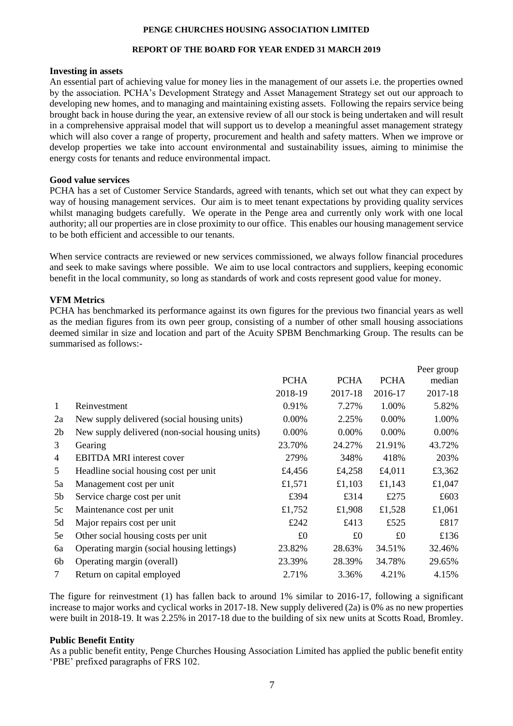#### **REPORT OF THE BOARD FOR YEAR ENDED 31 MARCH 2019**

#### **Investing in assets**

An essential part of achieving value for money lies in the management of our assets i.e. the properties owned by the association. PCHA's Development Strategy and Asset Management Strategy set out our approach to developing new homes, and to managing and maintaining existing assets. Following the repairs service being brought back in house during the year, an extensive review of all our stock is being undertaken and will result in a comprehensive appraisal model that will support us to develop a meaningful asset management strategy which will also cover a range of property, procurement and health and safety matters. When we improve or develop properties we take into account environmental and sustainability issues, aiming to minimise the energy costs for tenants and reduce environmental impact.

#### **Good value services**

PCHA has a set of Customer Service Standards, agreed with tenants, which set out what they can expect by way of housing management services. Our aim is to meet tenant expectations by providing quality services whilst managing budgets carefully. We operate in the Penge area and currently only work with one local authority; all our properties are in close proximity to our office. This enables our housing management service to be both efficient and accessible to our tenants.

When service contracts are reviewed or new services commissioned, we always follow financial procedures and seek to make savings where possible. We aim to use local contractors and suppliers, keeping economic benefit in the local community, so long as standards of work and costs represent good value for money.

#### **VFM Metrics**

PCHA has benchmarked its performance against its own figures for the previous two financial years as well as the median figures from its own peer group, consisting of a number of other small housing associations deemed similar in size and location and part of the Acuity SPBM Benchmarking Group. The results can be summarised as follows:-

|                |                                                 |             |             |             | Peer group |
|----------------|-------------------------------------------------|-------------|-------------|-------------|------------|
|                |                                                 | <b>PCHA</b> | <b>PCHA</b> | <b>PCHA</b> | median     |
|                |                                                 | 2018-19     | 2017-18     | 2016-17     | 2017-18    |
| $\mathbf{1}$   | Reinvestment                                    | 0.91%       | 7.27%       | 1.00%       | 5.82%      |
| 2a             | New supply delivered (social housing units)     | $0.00\%$    | 2.25%       | 0.00%       | 1.00%      |
| 2 <sub>b</sub> | New supply delivered (non-social housing units) | $0.00\%$    | $0.00\%$    | 0.00%       | 0.00%      |
| 3              | Gearing                                         | 23.70%      | 24.27%      | 21.91%      | 43.72%     |
| 4              | <b>EBITDA MRI</b> interest cover                | 279%        | 348%        | 418%        | 203%       |
| 5              | Headline social housing cost per unit           | £4,456      | £4,258      | £4,011      | £3,362     |
| 5a             | Management cost per unit                        | £1,571      | £1,103      | £1,143      | £1,047     |
| 5 <sub>b</sub> | Service charge cost per unit                    | £394        | £314        | £275        | £603       |
| 5c             | Maintenance cost per unit                       | £1,752      | £1,908      | £1,528      | £1,061     |
| 5d             | Major repairs cost per unit                     | £242        | £413        | £525        | £817       |
| 5e             | Other social housing costs per unit             | £0          | £0          | £0          | £136       |
| 6a             | Operating margin (social housing lettings)      | 23.82%      | 28.63%      | 34.51%      | 32.46%     |
| 6b             | Operating margin (overall)                      | 23.39%      | 28.39%      | 34.78%      | 29.65%     |
| 7              | Return on capital employed                      | 2.71%       | 3.36%       | 4.21%       | 4.15%      |

The figure for reinvestment (1) has fallen back to around 1% similar to 2016-17, following a significant increase to major works and cyclical works in 2017-18. New supply delivered (2a) is 0% as no new properties were built in 2018-19. It was 2.25% in 2017-18 due to the building of six new units at Scotts Road, Bromley.

#### **Public Benefit Entity**

As a public benefit entity, Penge Churches Housing Association Limited has applied the public benefit entity 'PBE' prefixed paragraphs of FRS 102.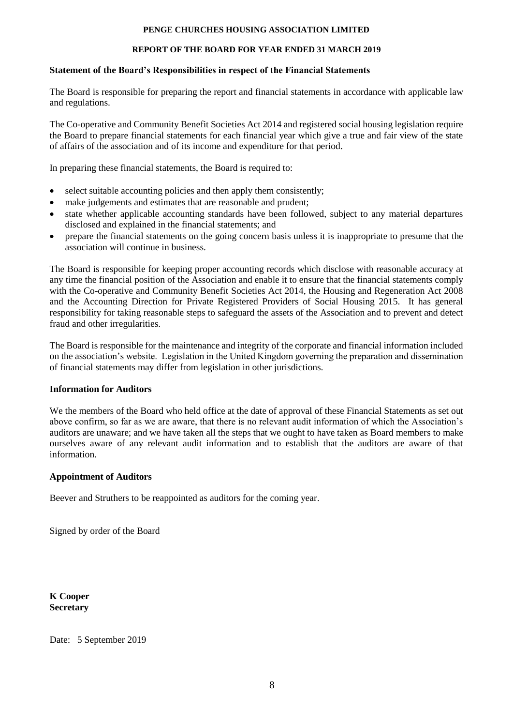# **REPORT OF THE BOARD FOR YEAR ENDED 31 MARCH 2019**

# **Statement of the Board's Responsibilities in respect of the Financial Statements**

The Board is responsible for preparing the report and financial statements in accordance with applicable law and regulations.

The Co-operative and Community Benefit Societies Act 2014 and registered social housing legislation require the Board to prepare financial statements for each financial year which give a true and fair view of the state of affairs of the association and of its income and expenditure for that period.

In preparing these financial statements, the Board is required to:

- select suitable accounting policies and then apply them consistently;
- make judgements and estimates that are reasonable and prudent;
- state whether applicable accounting standards have been followed, subject to any material departures disclosed and explained in the financial statements; and
- prepare the financial statements on the going concern basis unless it is inappropriate to presume that the association will continue in business.

The Board is responsible for keeping proper accounting records which disclose with reasonable accuracy at any time the financial position of the Association and enable it to ensure that the financial statements comply with the Co-operative and Community Benefit Societies Act 2014, the Housing and Regeneration Act 2008 and the Accounting Direction for Private Registered Providers of Social Housing 2015. It has general responsibility for taking reasonable steps to safeguard the assets of the Association and to prevent and detect fraud and other irregularities.

The Board is responsible for the maintenance and integrity of the corporate and financial information included on the association's website. Legislation in the United Kingdom governing the preparation and dissemination of financial statements may differ from legislation in other jurisdictions.

# **Information for Auditors**

We the members of the Board who held office at the date of approval of these Financial Statements as set out above confirm, so far as we are aware, that there is no relevant audit information of which the Association's auditors are unaware; and we have taken all the steps that we ought to have taken as Board members to make ourselves aware of any relevant audit information and to establish that the auditors are aware of that information.

# **Appointment of Auditors**

Beever and Struthers to be reappointed as auditors for the coming year.

Signed by order of the Board

**K Cooper Secretary**

Date: 5 September 2019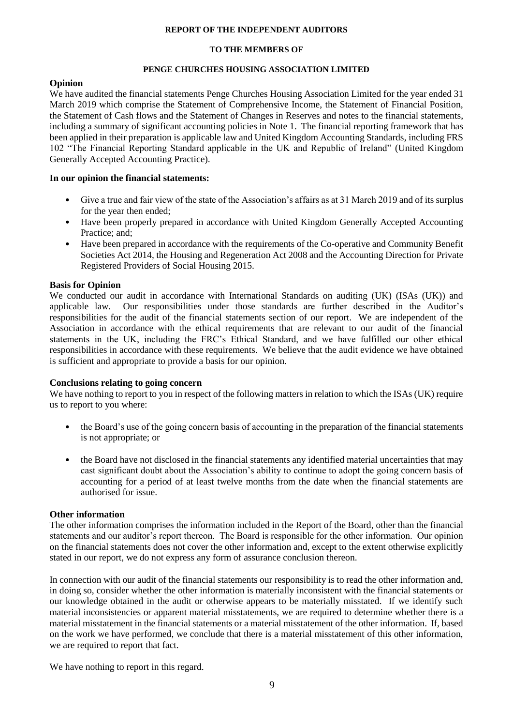#### **REPORT OF THE INDEPENDENT AUDITORS**

# **TO THE MEMBERS OF**

# **PENGE CHURCHES HOUSING ASSOCIATION LIMITED**

# **Opinion**

We have audited the financial statements Penge Churches Housing Association Limited for the year ended 31 March 2019 which comprise the Statement of Comprehensive Income, the Statement of Financial Position, the Statement of Cash flows and the Statement of Changes in Reserves and notes to the financial statements, including a summary of significant accounting policies in Note 1. The financial reporting framework that has been applied in their preparation is applicable law and United Kingdom Accounting Standards, including FRS 102 "The Financial Reporting Standard applicable in the UK and Republic of Ireland" (United Kingdom Generally Accepted Accounting Practice).

# **In our opinion the financial statements:**

- Give a true and fair view of the state of the Association's affairs as at 31 March 2019 and of its surplus for the year then ended;
- Have been properly prepared in accordance with United Kingdom Generally Accepted Accounting Practice: and:
- Have been prepared in accordance with the requirements of the Co-operative and Community Benefit Societies Act 2014, the Housing and Regeneration Act 2008 and the Accounting Direction for Private Registered Providers of Social Housing 2015.

# **Basis for Opinion**

We conducted our audit in accordance with International Standards on auditing (UK) (ISAs (UK)) and applicable law. Our responsibilities under those standards are further described in the Auditor's responsibilities for the audit of the financial statements section of our report. We are independent of the Association in accordance with the ethical requirements that are relevant to our audit of the financial statements in the UK, including the FRC's Ethical Standard, and we have fulfilled our other ethical responsibilities in accordance with these requirements. We believe that the audit evidence we have obtained is sufficient and appropriate to provide a basis for our opinion.

# **Conclusions relating to going concern**

We have nothing to report to you in respect of the following matters in relation to which the ISAs (UK) require us to report to you where:

- the Board's use of the going concern basis of accounting in the preparation of the financial statements is not appropriate; or
- the Board have not disclosed in the financial statements any identified material uncertainties that may cast significant doubt about the Association's ability to continue to adopt the going concern basis of accounting for a period of at least twelve months from the date when the financial statements are authorised for issue.

# **Other information**

The other information comprises the information included in the Report of the Board, other than the financial statements and our auditor's report thereon. The Board is responsible for the other information. Our opinion on the financial statements does not cover the other information and, except to the extent otherwise explicitly stated in our report, we do not express any form of assurance conclusion thereon.

In connection with our audit of the financial statements our responsibility is to read the other information and, in doing so, consider whether the other information is materially inconsistent with the financial statements or our knowledge obtained in the audit or otherwise appears to be materially misstated. If we identify such material inconsistencies or apparent material misstatements, we are required to determine whether there is a material misstatement in the financial statements or a material misstatement of the other information. If, based on the work we have performed, we conclude that there is a material misstatement of this other information, we are required to report that fact.

We have nothing to report in this regard.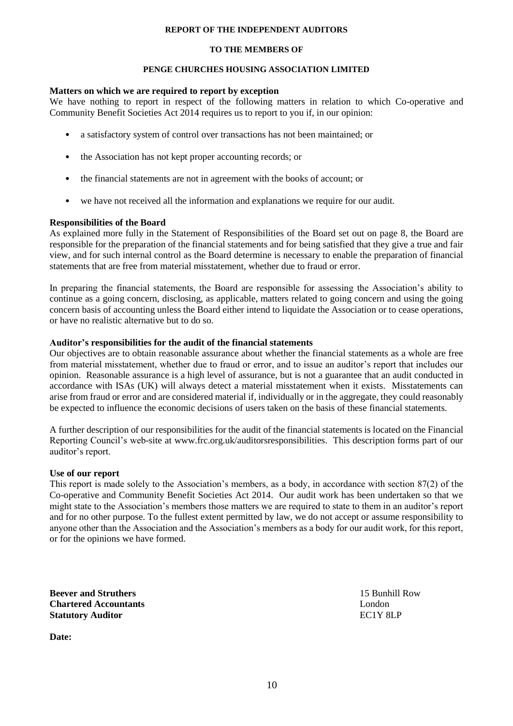#### **REPORT OF THE INDEPENDENT AUDITORS**

### **TO THE MEMBERS OF**

## **PENGE CHURCHES HOUSING ASSOCIATION LIMITED**

## **Matters on which we are required to report by exception**

We have nothing to report in respect of the following matters in relation to which Co-operative and Community Benefit Societies Act 2014 requires us to report to you if, in our opinion:

- a satisfactory system of control over transactions has not been maintained; or
- the Association has not kept proper accounting records; or
- the financial statements are not in agreement with the books of account; or
- we have not received all the information and explanations we require for our audit.

# **Responsibilities of the Board**

As explained more fully in the Statement of Responsibilities of the Board set out on page 8, the Board are responsible for the preparation of the financial statements and for being satisfied that they give a true and fair view, and for such internal control as the Board determine is necessary to enable the preparation of financial statements that are free from material misstatement, whether due to fraud or error.

In preparing the financial statements, the Board are responsible for assessing the Association's ability to continue as a going concern, disclosing, as applicable, matters related to going concern and using the going concern basis of accounting unless the Board either intend to liquidate the Association or to cease operations, or have no realistic alternative but to do so.

# **Auditor's responsibilities for the audit of the financial statements**

Our objectives are to obtain reasonable assurance about whether the financial statements as a whole are free from material misstatement, whether due to fraud or error, and to issue an auditor's report that includes our opinion. Reasonable assurance is a high level of assurance, but is not a guarantee that an audit conducted in accordance with ISAs (UK) will always detect a material misstatement when it exists. Misstatements can arise from fraud or error and are considered material if, individually or in the aggregate, they could reasonably be expected to influence the economic decisions of users taken on the basis of these financial statements.

A further description of our responsibilities for the audit of the financial statements is located on the Financial Reporting Council's web-site at www.frc.org.uk/auditorsresponsibilities. This description forms part of our auditor's report.

# **Use of our report**

This report is made solely to the Association's members, as a body, in accordance with section 87(2) of the Co-operative and Community Benefit Societies Act 2014. Our audit work has been undertaken so that we might state to the Association's members those matters we are required to state to them in an auditor's report and for no other purpose. To the fullest extent permitted by law, we do not accept or assume responsibility to anyone other than the Association and the Association's members as a body for our audit work, for this report, or for the opinions we have formed.

**Beever and Struthers** 15 Bunhill Row **Chartered Accountants** London **Statutory Auditor** EC1Y 8LP

**Date:**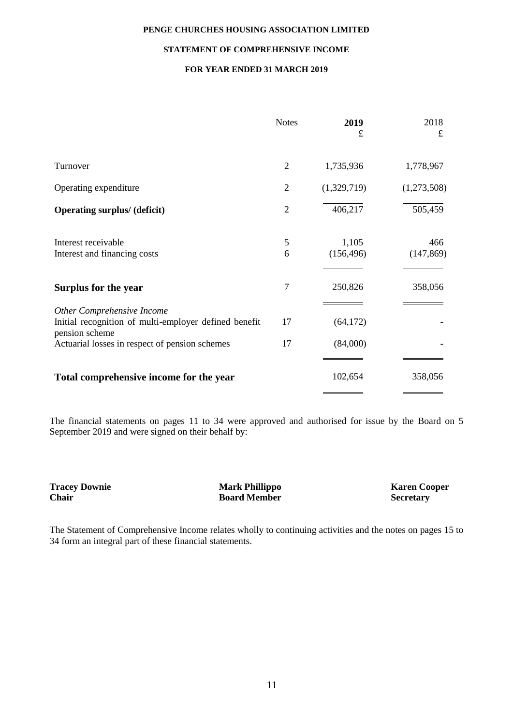#### **STATEMENT OF COMPREHENSIVE INCOME**

# **FOR YEAR ENDED 31 MARCH 2019**

|                                                                                                       | <b>Notes</b>   | 2019<br>£           | 2018<br>£         |
|-------------------------------------------------------------------------------------------------------|----------------|---------------------|-------------------|
| Turnover                                                                                              | $\overline{2}$ | 1,735,936           | 1,778,967         |
| Operating expenditure                                                                                 | $\overline{2}$ | (1,329,719)         | (1,273,508)       |
| <b>Operating surplus/ (deficit)</b>                                                                   | $\overline{2}$ | 406,217             | 505,459           |
| Interest receivable<br>Interest and financing costs                                                   | 5<br>6         | 1,105<br>(156, 496) | 466<br>(147, 869) |
| Surplus for the year                                                                                  | $\overline{7}$ | 250,826             | 358,056           |
| Other Comprehensive Income<br>Initial recognition of multi-employer defined benefit<br>pension scheme | 17             | (64, 172)           |                   |
| Actuarial losses in respect of pension schemes                                                        | 17             | (84,000)            |                   |
| Total comprehensive income for the year                                                               |                | 102,654             | 358,056           |

The financial statements on pages 11 to 34 were approved and authorised for issue by the Board on 5 September 2019 and were signed on their behalf by:

**Tracey Downie 1988 Mark Phillippo Mark Phillippo Karen Cooper Chair Cooper Chair Cooper Chair Cooper Chair Cooper Chair Cooper Chair Cooper Chair Cooper Chair Cooper Chair Cooper Board Member** 

The Statement of Comprehensive Income relates wholly to continuing activities and the notes on pages 15 to 34 form an integral part of these financial statements.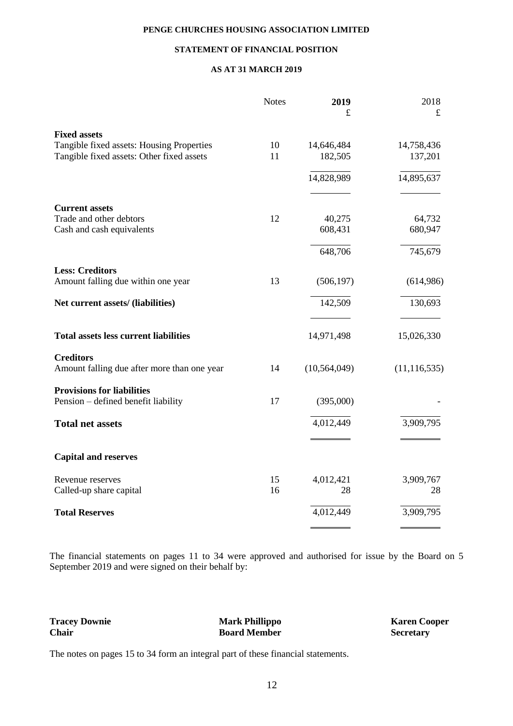## **STATEMENT OF FINANCIAL POSITION**

## **AS AT 31 MARCH 2019**

|                                              | <b>Notes</b> | 2019<br>£      | 2018<br>$\pounds$ |
|----------------------------------------------|--------------|----------------|-------------------|
| <b>Fixed assets</b>                          |              |                |                   |
| Tangible fixed assets: Housing Properties    | 10           | 14,646,484     | 14,758,436        |
| Tangible fixed assets: Other fixed assets    | 11           | 182,505        | 137,201           |
|                                              |              | 14,828,989     | 14,895,637        |
| <b>Current assets</b>                        |              |                |                   |
| Trade and other debtors                      | 12           | 40,275         | 64,732            |
| Cash and cash equivalents                    |              | 608,431        | 680,947           |
|                                              |              | 648,706        | 745,679           |
| <b>Less: Creditors</b>                       |              |                |                   |
| Amount falling due within one year           | 13           | (506, 197)     | (614,986)         |
| Net current assets/ (liabilities)            |              | 142,509        | 130,693           |
| <b>Total assets less current liabilities</b> |              | 14,971,498     | 15,026,330        |
| <b>Creditors</b>                             |              |                |                   |
| Amount falling due after more than one year  | 14           | (10, 564, 049) | (11, 116, 535)    |
| <b>Provisions for liabilities</b>            |              |                |                   |
| Pension – defined benefit liability          | 17           | (395,000)      |                   |
| <b>Total net assets</b>                      |              | 4,012,449      | 3,909,795         |
| <b>Capital and reserves</b>                  |              |                |                   |
| Revenue reserves                             | 15           | 4,012,421      | 3,909,767         |
| Called-up share capital                      | 16           | 28             | 28                |
| <b>Total Reserves</b>                        |              | 4,012,449      | 3,909,795         |
|                                              |              |                |                   |

The financial statements on pages 11 to 34 were approved and authorised for issue by the Board on 5 September 2019 and were signed on their behalf by:

**Tracey Downie Mark Phillippo Karen Cooper**

**Chair Board Member Secretary** 

The notes on pages 15 to 34 form an integral part of these financial statements.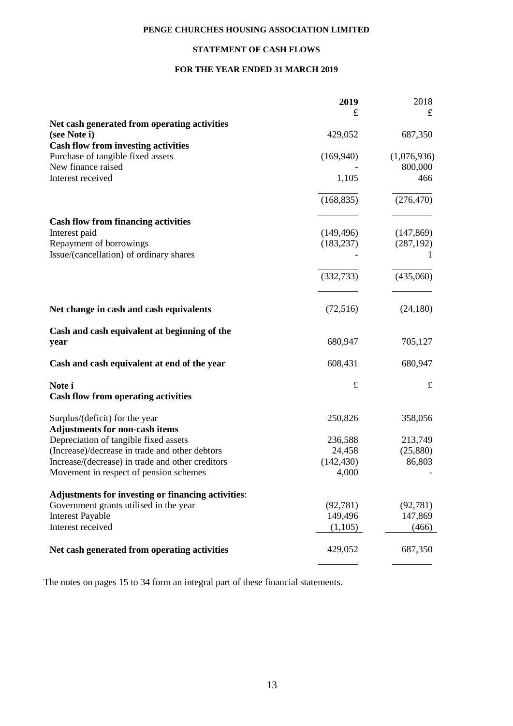# **STATEMENT OF CASH FLOWS**

# **FOR THE YEAR ENDED 31 MARCH 2019**

|                                                           | 2019       | 2018        |
|-----------------------------------------------------------|------------|-------------|
|                                                           | £          | £           |
| Net cash generated from operating activities              |            |             |
| (see Note i)                                              | 429,052    | 687,350     |
| <b>Cash flow from investing activities</b>                |            |             |
| Purchase of tangible fixed assets                         | (169,940)  | (1,076,936) |
| New finance raised                                        |            | 800,000     |
| Interest received                                         | 1,105      | 466         |
|                                                           | (168, 835) | (276, 470)  |
|                                                           |            |             |
| <b>Cash flow from financing activities</b>                |            |             |
| Interest paid                                             | (149, 496) | (147, 869)  |
| Repayment of borrowings                                   | (183, 237) | (287, 192)  |
| Issue/(cancellation) of ordinary shares                   |            |             |
|                                                           | (332, 733) | (435,060)   |
|                                                           |            |             |
| Net change in cash and cash equivalents                   | (72, 516)  | (24, 180)   |
| Cash and cash equivalent at beginning of the              |            |             |
| year                                                      | 680,947    | 705,127     |
| Cash and cash equivalent at end of the year               | 608,431    | 680,947     |
| Note i                                                    | $\pounds$  | $\pounds$   |
| <b>Cash flow from operating activities</b>                |            |             |
| Surplus/(deficit) for the year                            | 250,826    | 358,056     |
| <b>Adjustments for non-cash items</b>                     |            |             |
| Depreciation of tangible fixed assets                     | 236,588    | 213,749     |
| (Increase)/decrease in trade and other debtors            | 24,458     | (25,880)    |
| Increase/(decrease) in trade and other creditors          | (142, 430) | 86,803      |
| Movement in respect of pension schemes                    | 4,000      |             |
| <b>Adjustments for investing or financing activities:</b> |            |             |
| Government grants utilised in the year                    | (92, 781)  | (92, 781)   |
| <b>Interest Payable</b>                                   | 149,496    | 147,869     |
| Interest received                                         | (1,105)    | (466)       |
| Net cash generated from operating activities              | 429,052    | 687,350     |
|                                                           |            |             |

The notes on pages 15 to 34 form an integral part of these financial statements.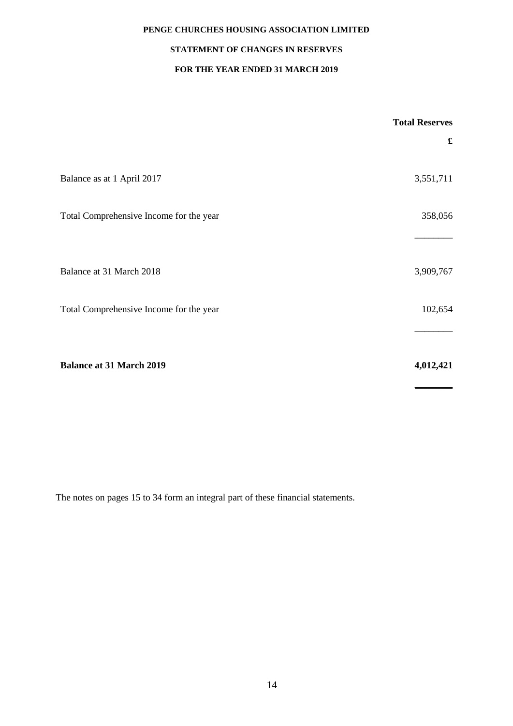# **STATEMENT OF CHANGES IN RESERVES**

# **FOR THE YEAR ENDED 31 MARCH 2019**

|                                         | <b>Total Reserves</b> |
|-----------------------------------------|-----------------------|
|                                         | £                     |
|                                         |                       |
| Balance as at 1 April 2017              | 3,551,711             |
|                                         |                       |
| Total Comprehensive Income for the year | 358,056               |
|                                         |                       |
|                                         |                       |
| Balance at 31 March 2018                | 3,909,767             |
| Total Comprehensive Income for the year | 102,654               |
|                                         |                       |
|                                         |                       |
| <b>Balance at 31 March 2019</b>         | 4,012,421             |
|                                         |                       |

The notes on pages 15 to 34 form an integral part of these financial statements.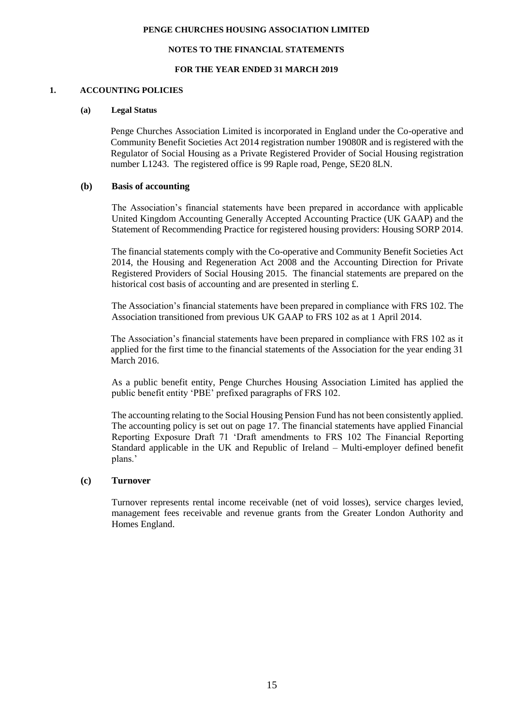#### **NOTES TO THE FINANCIAL STATEMENTS**

#### **FOR THE YEAR ENDED 31 MARCH 2019**

#### **1. ACCOUNTING POLICIES**

#### **(a) Legal Status**

Penge Churches Association Limited is incorporated in England under the Co-operative and Community Benefit Societies Act 2014 registration number 19080R and is registered with the Regulator of Social Housing as a Private Registered Provider of Social Housing registration number L1243. The registered office is 99 Raple road, Penge, SE20 8LN.

### **(b) Basis of accounting**

The Association's financial statements have been prepared in accordance with applicable United Kingdom Accounting Generally Accepted Accounting Practice (UK GAAP) and the Statement of Recommending Practice for registered housing providers: Housing SORP 2014.

The financial statements comply with the Co-operative and Community Benefit Societies Act 2014, the Housing and Regeneration Act 2008 and the Accounting Direction for Private Registered Providers of Social Housing 2015. The financial statements are prepared on the historical cost basis of accounting and are presented in sterling £.

The Association's financial statements have been prepared in compliance with FRS 102. The Association transitioned from previous UK GAAP to FRS 102 as at 1 April 2014.

The Association's financial statements have been prepared in compliance with FRS 102 as it applied for the first time to the financial statements of the Association for the year ending 31 March 2016.

As a public benefit entity, Penge Churches Housing Association Limited has applied the public benefit entity 'PBE' prefixed paragraphs of FRS 102.

The accounting relating to the Social Housing Pension Fund has not been consistently applied. The accounting policy is set out on page 17. The financial statements have applied Financial Reporting Exposure Draft 71 'Draft amendments to FRS 102 The Financial Reporting Standard applicable in the UK and Republic of Ireland – Multi-employer defined benefit plans.'

# **(c) Turnover**

Turnover represents rental income receivable (net of void losses), service charges levied, management fees receivable and revenue grants from the Greater London Authority and Homes England.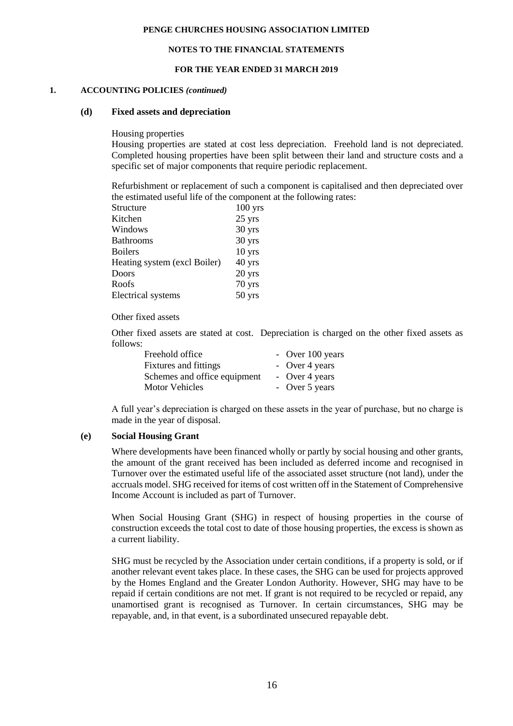#### **NOTES TO THE FINANCIAL STATEMENTS**

#### **FOR THE YEAR ENDED 31 MARCH 2019**

#### **1. ACCOUNTING POLICIES** *(continued)*

#### **(d) Fixed assets and depreciation**

Housing properties

Housing properties are stated at cost less depreciation. Freehold land is not depreciated. Completed housing properties have been split between their land and structure costs and a specific set of major components that require periodic replacement.

Refurbishment or replacement of such a component is capitalised and then depreciated over the estimated useful life of the component at the following rates:

| $100$ yrs |
|-----------|
| 25 yrs    |
| 30 yrs    |
| 30 yrs    |
| $10$ yrs  |
| 40 yrs    |
| 20 yrs    |
| 70 yrs    |
| $50$ yrs  |
|           |

#### Other fixed assets

Other fixed assets are stated at cost. Depreciation is charged on the other fixed assets as follows:

| Freehold office              | - Over 100 years |
|------------------------------|------------------|
| Fixtures and fittings        | - Over 4 years   |
| Schemes and office equipment | - Over 4 years   |
| <b>Motor Vehicles</b>        | - Over 5 years   |

A full year's depreciation is charged on these assets in the year of purchase, but no charge is made in the year of disposal.

#### **(e) Social Housing Grant**

Where developments have been financed wholly or partly by social housing and other grants, the amount of the grant received has been included as deferred income and recognised in Turnover over the estimated useful life of the associated asset structure (not land), under the accruals model. SHG received for items of cost written off in the Statement of Comprehensive Income Account is included as part of Turnover.

When Social Housing Grant (SHG) in respect of housing properties in the course of construction exceeds the total cost to date of those housing properties, the excess is shown as a current liability.

SHG must be recycled by the Association under certain conditions, if a property is sold, or if another relevant event takes place. In these cases, the SHG can be used for projects approved by the Homes England and the Greater London Authority. However, SHG may have to be repaid if certain conditions are not met. If grant is not required to be recycled or repaid, any unamortised grant is recognised as Turnover. In certain circumstances, SHG may be repayable, and, in that event, is a subordinated unsecured repayable debt.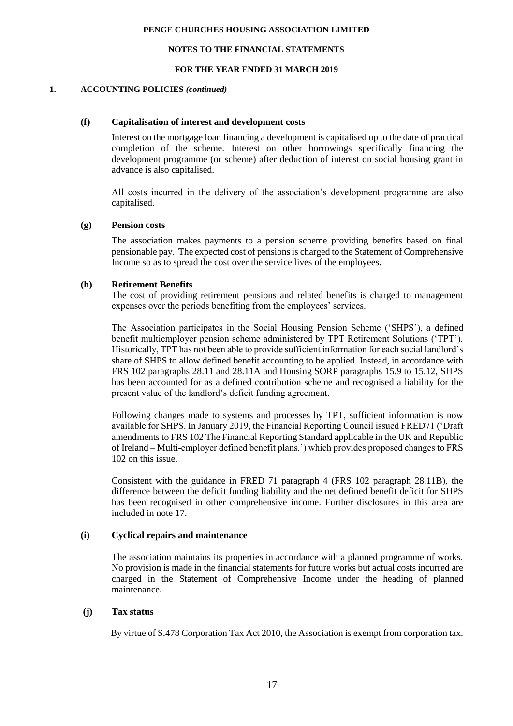#### **NOTES TO THE FINANCIAL STATEMENTS**

#### **FOR THE YEAR ENDED 31 MARCH 2019**

#### **1. ACCOUNTING POLICIES** *(continued)*

#### **(f) Capitalisation of interest and development costs**

Interest on the mortgage loan financing a development is capitalised up to the date of practical completion of the scheme. Interest on other borrowings specifically financing the development programme (or scheme) after deduction of interest on social housing grant in advance is also capitalised.

All costs incurred in the delivery of the association's development programme are also capitalised.

#### **(g) Pension costs**

The association makes payments to a pension scheme providing benefits based on final pensionable pay. The expected cost of pensions is charged to the Statement of Comprehensive Income so as to spread the cost over the service lives of the employees.

# **(h) Retirement Benefits**

The cost of providing retirement pensions and related benefits is charged to management expenses over the periods benefiting from the employees' services.

The Association participates in the Social Housing Pension Scheme ('SHPS'), a defined benefit multiemployer pension scheme administered by TPT Retirement Solutions ('TPT'). Historically, TPT has not been able to provide sufficient information for each social landlord's share of SHPS to allow defined benefit accounting to be applied. Instead, in accordance with FRS 102 paragraphs 28.11 and 28.11A and Housing SORP paragraphs 15.9 to 15.12, SHPS has been accounted for as a defined contribution scheme and recognised a liability for the present value of the landlord's deficit funding agreement.

Following changes made to systems and processes by TPT, sufficient information is now available for SHPS. In January 2019, the Financial Reporting Council issued FRED71 ('Draft amendments to FRS 102 The Financial Reporting Standard applicable in the UK and Republic of Ireland – Multi-employer defined benefit plans.') which provides proposed changes to FRS 102 on this issue.

Consistent with the guidance in FRED 71 paragraph 4 (FRS 102 paragraph 28.11B), the difference between the deficit funding liability and the net defined benefit deficit for SHPS has been recognised in other comprehensive income. Further disclosures in this area are included in note 17.

# **(i) Cyclical repairs and maintenance**

The association maintains its properties in accordance with a planned programme of works. No provision is made in the financial statements for future works but actual costs incurred are charged in the Statement of Comprehensive Income under the heading of planned maintenance.

# **(j) Tax status**

By virtue of S.478 Corporation Tax Act 2010, the Association is exempt from corporation tax.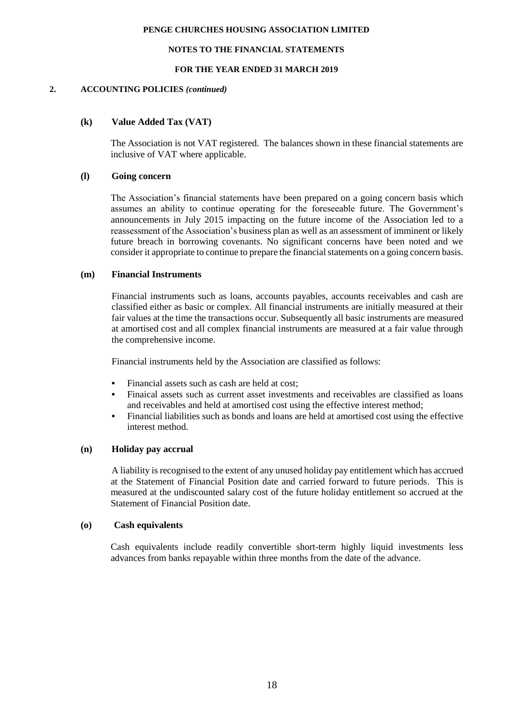#### **NOTES TO THE FINANCIAL STATEMENTS**

#### **FOR THE YEAR ENDED 31 MARCH 2019**

#### **2. ACCOUNTING POLICIES** *(continued)*

# **(k) Value Added Tax (VAT)**

The Association is not VAT registered. The balances shown in these financial statements are inclusive of VAT where applicable.

## **(l) Going concern**

The Association's financial statements have been prepared on a going concern basis which assumes an ability to continue operating for the foreseeable future. The Government's announcements in July 2015 impacting on the future income of the Association led to a reassessment of the Association's business plan as well as an assessment of imminent or likely future breach in borrowing covenants. No significant concerns have been noted and we consider it appropriate to continue to prepare the financial statements on a going concern basis.

#### **(m) Financial Instruments**

Financial instruments such as loans, accounts payables, accounts receivables and cash are classified either as basic or complex. All financial instruments are initially measured at their fair values at the time the transactions occur. Subsequently all basic instruments are measured at amortised cost and all complex financial instruments are measured at a fair value through the comprehensive income.

Financial instruments held by the Association are classified as follows:

- **•** Financial assets such as cash are held at cost;
- **•** Finaical assets such as current asset investments and receivables are classified as loans and receivables and held at amortised cost using the effective interest method;
- **•** Financial liabilities such as bonds and loans are held at amortised cost using the effective interest method.

#### **(n) Holiday pay accrual**

A liability is recognised to the extent of any unused holiday pay entitlement which has accrued at the Statement of Financial Position date and carried forward to future periods. This is measured at the undiscounted salary cost of the future holiday entitlement so accrued at the Statement of Financial Position date.

#### **(o) Cash equivalents**

Cash equivalents include readily convertible short-term highly liquid investments less advances from banks repayable within three months from the date of the advance.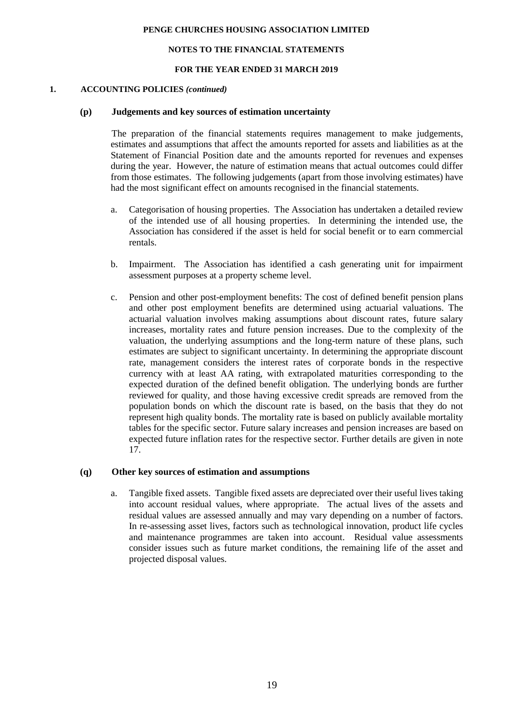#### **NOTES TO THE FINANCIAL STATEMENTS**

#### **FOR THE YEAR ENDED 31 MARCH 2019**

#### **1. ACCOUNTING POLICIES** *(continued)*

#### **(p) Judgements and key sources of estimation uncertainty**

The preparation of the financial statements requires management to make judgements, estimates and assumptions that affect the amounts reported for assets and liabilities as at the Statement of Financial Position date and the amounts reported for revenues and expenses during the year. However, the nature of estimation means that actual outcomes could differ from those estimates. The following judgements (apart from those involving estimates) have had the most significant effect on amounts recognised in the financial statements.

- a. Categorisation of housing properties. The Association has undertaken a detailed review of the intended use of all housing properties. In determining the intended use, the Association has considered if the asset is held for social benefit or to earn commercial rentals.
- b. Impairment. The Association has identified a cash generating unit for impairment assessment purposes at a property scheme level.
- c. Pension and other post-employment benefits: The cost of defined benefit pension plans and other post employment benefits are determined using actuarial valuations. The actuarial valuation involves making assumptions about discount rates, future salary increases, mortality rates and future pension increases. Due to the complexity of the valuation, the underlying assumptions and the long-term nature of these plans, such estimates are subject to significant uncertainty. In determining the appropriate discount rate, management considers the interest rates of corporate bonds in the respective currency with at least AA rating, with extrapolated maturities corresponding to the expected duration of the defined benefit obligation. The underlying bonds are further reviewed for quality, and those having excessive credit spreads are removed from the population bonds on which the discount rate is based, on the basis that they do not represent high quality bonds. The mortality rate is based on publicly available mortality tables for the specific sector. Future salary increases and pension increases are based on expected future inflation rates for the respective sector. Further details are given in note 17.

#### **(q) Other key sources of estimation and assumptions**

a. Tangible fixed assets. Tangible fixed assets are depreciated over their useful lives taking into account residual values, where appropriate. The actual lives of the assets and residual values are assessed annually and may vary depending on a number of factors. In re-assessing asset lives, factors such as technological innovation, product life cycles and maintenance programmes are taken into account. Residual value assessments consider issues such as future market conditions, the remaining life of the asset and projected disposal values.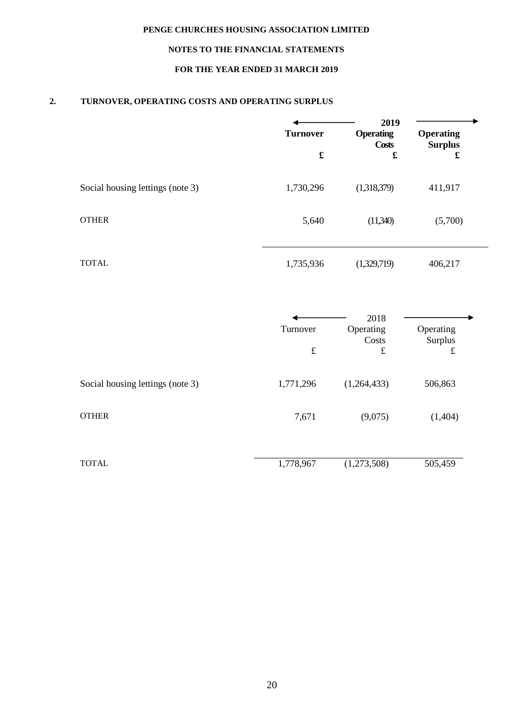# **NOTES TO THE FINANCIAL STATEMENTS**

# **FOR THE YEAR ENDED 31 MARCH 2019**

# **2. TURNOVER, OPERATING COSTS AND OPERATING SURPLUS**

|                                  |                 | 2019                                                                                                                   |                                                            |
|----------------------------------|-----------------|------------------------------------------------------------------------------------------------------------------------|------------------------------------------------------------|
|                                  | <b>Turnover</b> | <b>Operating</b><br><b>Costs</b><br>$\pmb{\pmb{\pmb{\pmb{\pmb{\pmb{\pmb{\pmb{\pmb{\pmb{\pmb{\pmb{\pmb{\bm{c}}}}}}}}}}$ | <b>Operating</b><br><b>Surplus</b><br>$\pmb{\mathfrak{L}}$ |
|                                  |                 |                                                                                                                        |                                                            |
| Social housing lettings (note 3) | 1,730,296       | (1,318,379)                                                                                                            | 411,917                                                    |
| <b>OTHER</b>                     | 5,640           | (11,340)                                                                                                               | (5,700)                                                    |
| <b>TOTAL</b>                     | 1,735,936       | (1,329,719)                                                                                                            | 406,217                                                    |
|                                  |                 | 2018                                                                                                                   |                                                            |
|                                  | Turnover        | Operating<br>Costs                                                                                                     | Operating<br>Surplus                                       |
|                                  | $\pounds$       | $\pounds$                                                                                                              | $\pounds$                                                  |
| Social housing lettings (note 3) | 1,771,296       | (1,264,433)                                                                                                            | 506,863                                                    |
| <b>OTHER</b>                     | 7,671           | (9,075)                                                                                                                | (1,404)                                                    |
| <b>TOTAL</b>                     | 1,778,967       | (1,273,508)                                                                                                            | 505,459                                                    |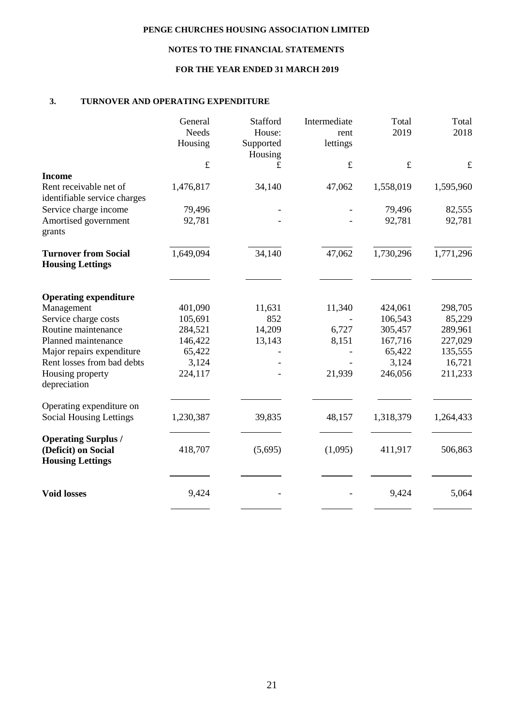# **NOTES TO THE FINANCIAL STATEMENTS**

# **FOR THE YEAR ENDED 31 MARCH 2019**

# **3. TURNOVER AND OPERATING EXPENDITURE**

|                                                                              | General<br>Needs<br>Housing | Stafford<br>House:<br>Supported<br>Housing | Intermediate<br>rent<br>lettings | Total<br>2019 | Total<br>2018 |
|------------------------------------------------------------------------------|-----------------------------|--------------------------------------------|----------------------------------|---------------|---------------|
|                                                                              | $\pounds$                   | £                                          | $\pounds$                        | $\pounds$     | $\pounds$     |
| <b>Income</b>                                                                |                             |                                            |                                  |               |               |
| Rent receivable net of<br>identifiable service charges                       | 1,476,817                   | 34,140                                     | 47,062                           | 1,558,019     | 1,595,960     |
| Service charge income                                                        | 79,496                      |                                            |                                  | 79,496        | 82,555        |
| Amortised government<br>grants                                               | 92,781                      |                                            |                                  | 92,781        | 92,781        |
| <b>Turnover from Social</b><br><b>Housing Lettings</b>                       | 1,649,094                   | 34,140                                     | 47,062                           | 1,730,296     | 1,771,296     |
| <b>Operating expenditure</b>                                                 |                             |                                            |                                  |               |               |
| Management                                                                   | 401,090                     | 11,631                                     | 11,340                           | 424,061       | 298,705       |
| Service charge costs                                                         | 105,691                     | 852                                        |                                  | 106,543       | 85,229        |
| Routine maintenance                                                          | 284,521                     | 14,209                                     | 6,727                            | 305,457       | 289,961       |
| Planned maintenance                                                          | 146,422                     | 13,143                                     | 8,151                            | 167,716       | 227,029       |
| Major repairs expenditure                                                    | 65,422                      |                                            |                                  | 65,422        | 135,555       |
| Rent losses from bad debts                                                   | 3,124                       |                                            |                                  | 3,124         | 16,721        |
| Housing property<br>depreciation                                             | 224,117                     |                                            | 21,939                           | 246,056       | 211,233       |
| Operating expenditure on                                                     |                             |                                            |                                  |               |               |
| <b>Social Housing Lettings</b>                                               | 1,230,387                   | 39,835                                     | 48,157                           | 1,318,379     | 1,264,433     |
| <b>Operating Surplus /</b><br>(Deficit) on Social<br><b>Housing Lettings</b> | 418,707                     | (5,695)                                    | (1,095)                          | 411,917       | 506,863       |
| <b>Void losses</b>                                                           | 9,424                       |                                            |                                  | 9,424         | 5,064         |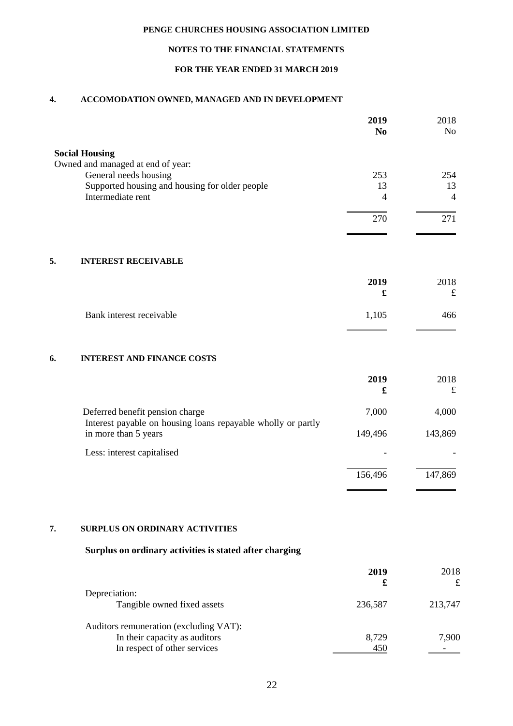# **NOTES TO THE FINANCIAL STATEMENTS**

# **FOR THE YEAR ENDED 31 MARCH 2019**

## **4. ACCOMODATION OWNED, MANAGED AND IN DEVELOPMENT**

|                                                                                                 | 2019<br>N <sub>0</sub> | 2018<br>N <sub>o</sub> |
|-------------------------------------------------------------------------------------------------|------------------------|------------------------|
| <b>Social Housing</b>                                                                           |                        |                        |
| Owned and managed at end of year:                                                               |                        |                        |
| General needs housing                                                                           | 253                    | 254                    |
| Supported housing and housing for older people                                                  | 13                     | 13                     |
| Intermediate rent                                                                               | 4                      | $\overline{4}$         |
|                                                                                                 | 270                    | 271                    |
|                                                                                                 |                        |                        |
| 5.<br><b>INTEREST RECEIVABLE</b>                                                                |                        |                        |
|                                                                                                 | 2019                   | 2018                   |
|                                                                                                 | £                      | $\mathbf f$            |
| Bank interest receivable                                                                        | 1,105                  | 466                    |
| <b>INTEREST AND FINANCE COSTS</b><br>6.                                                         |                        |                        |
|                                                                                                 | 2019                   | 2018                   |
|                                                                                                 | £                      | $\pounds$              |
| Deferred benefit pension charge<br>Interest payable on housing loans repayable wholly or partly | 7,000                  | 4,000                  |
| in more than 5 years                                                                            | 149,496                | 143,869                |
| Less: interest capitalised                                                                      |                        |                        |
|                                                                                                 | 156,496                | 147,869                |
|                                                                                                 |                        |                        |

# **7. SURPLUS ON ORDINARY ACTIVITIES**

# **Surplus on ordinary activities is stated after charging**

|                                        | 2019<br>£ | 2018    |
|----------------------------------------|-----------|---------|
| Depreciation:                          |           |         |
| Tangible owned fixed assets            | 236,587   | 213,747 |
| Auditors remuneration (excluding VAT): |           |         |
| In their capacity as auditors          | 8,729     | 7,900   |
| In respect of other services           |           |         |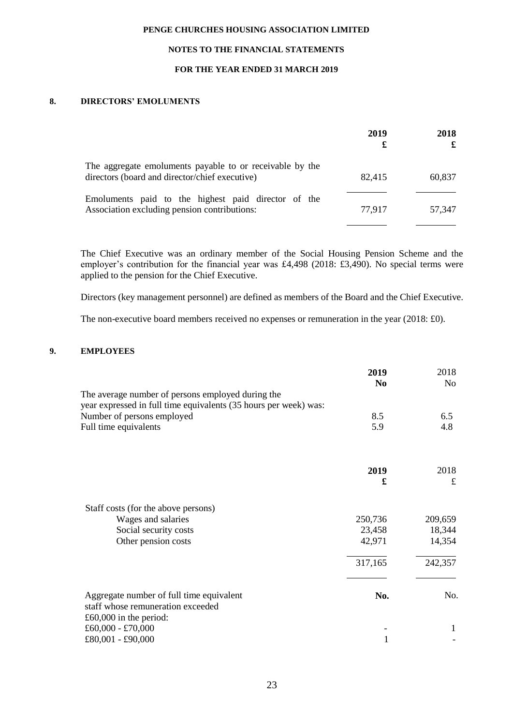# **NOTES TO THE FINANCIAL STATEMENTS**

## **FOR THE YEAR ENDED 31 MARCH 2019**

# **8. DIRECTORS' EMOLUMENTS**

|                                                                                                            | 2019<br>£ | 2018   |
|------------------------------------------------------------------------------------------------------------|-----------|--------|
| The aggregate emoluments payable to or receivable by the<br>directors (board and director/chief executive) | 82,415    | 60,837 |
| Emoluments paid to the highest paid director of the<br>Association excluding pension contributions:        | 77,917    | 57.347 |

The Chief Executive was an ordinary member of the Social Housing Pension Scheme and the employer's contribution for the financial year was £4,498 (2018: £3,490). No special terms were applied to the pension for the Chief Executive.

Directors (key management personnel) are defined as members of the Board and the Chief Executive.

The non-executive board members received no expenses or remuneration in the year (2018: £0).

## **9. EMPLOYEES**

|                                                                                                                       | 2019<br>N <sub>0</sub> | 2018<br>No |
|-----------------------------------------------------------------------------------------------------------------------|------------------------|------------|
| The average number of persons employed during the<br>year expressed in full time equivalents (35 hours per week) was: |                        |            |
| Number of persons employed                                                                                            | 8.5                    | 6.5        |
| Full time equivalents                                                                                                 | 5.9                    | 4.8        |
|                                                                                                                       |                        |            |
|                                                                                                                       | 2019<br>£              | 2018<br>£  |
| Staff costs (for the above persons)                                                                                   |                        |            |
| Wages and salaries                                                                                                    | 250,736                | 209,659    |
| Social security costs                                                                                                 | 23,458                 | 18,344     |
| Other pension costs                                                                                                   | 42,971                 | 14,354     |
|                                                                                                                       | 317,165                | 242,357    |
| Aggregate number of full time equivalent<br>staff whose remuneration exceeded                                         | No.                    | No.        |
| £60,000 in the period:                                                                                                |                        |            |
| £60,000 - £70,000                                                                                                     |                        | 1          |
| £80,001 - £90,000                                                                                                     | 1                      |            |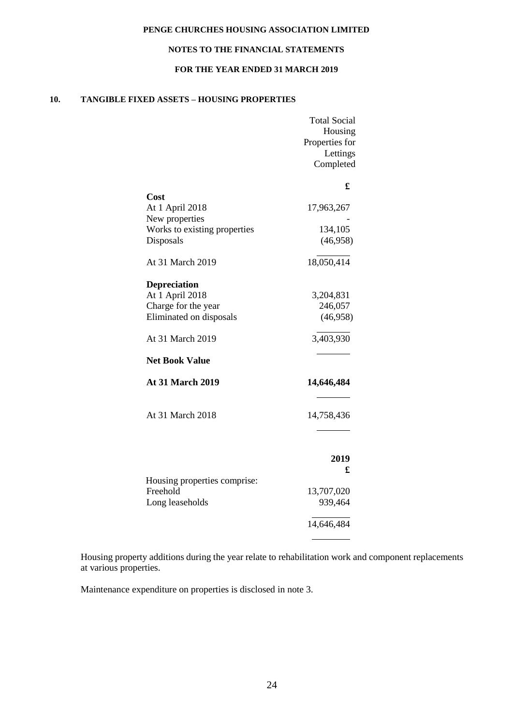# **NOTES TO THE FINANCIAL STATEMENTS**

## **FOR THE YEAR ENDED 31 MARCH 2019**

# **10. TANGIBLE FIXED ASSETS – HOUSING PROPERTIES**

|                                          | <b>Total Social</b><br>Housing<br>Properties for<br>Lettings<br>Completed |
|------------------------------------------|---------------------------------------------------------------------------|
|                                          | £                                                                         |
| Cost<br>At 1 April 2018                  | 17,963,267                                                                |
| New properties                           |                                                                           |
| Works to existing properties             | 134,105                                                                   |
| Disposals                                | (46,958)                                                                  |
| At 31 March 2019                         | 18,050,414                                                                |
| Depreciation                             |                                                                           |
| At 1 April 2018                          | 3,204,831                                                                 |
| Charge for the year                      | 246,057                                                                   |
| Eliminated on disposals                  | (46,958)                                                                  |
| At 31 March 2019                         | 3,403,930                                                                 |
| <b>Net Book Value</b>                    |                                                                           |
| <b>At 31 March 2019</b>                  | 14,646,484                                                                |
| At 31 March 2018                         | 14,758,436                                                                |
|                                          | 2019                                                                      |
|                                          | £                                                                         |
| Housing properties comprise:<br>Freehold |                                                                           |
| Long leaseholds                          | 13,707,020<br>939,464                                                     |
|                                          |                                                                           |
|                                          | 14,646,484                                                                |
|                                          |                                                                           |

Housing property additions during the year relate to rehabilitation work and component replacements at various properties.

Maintenance expenditure on properties is disclosed in note 3.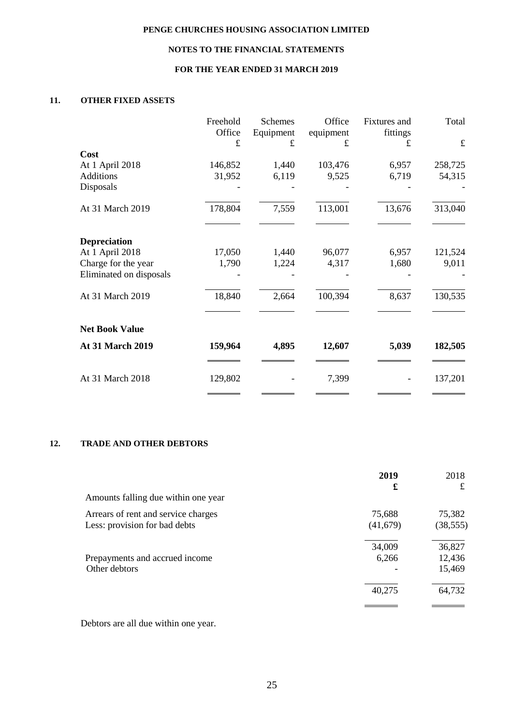# **NOTES TO THE FINANCIAL STATEMENTS**

# **FOR THE YEAR ENDED 31 MARCH 2019**

# **11. OTHER FIXED ASSETS**

|                         | Freehold<br>Office | <b>Schemes</b><br>Equipment | Office<br>equipment | Fixtures and<br>fittings | Total       |
|-------------------------|--------------------|-----------------------------|---------------------|--------------------------|-------------|
|                         | $\pounds$          | £                           | £                   | £                        | $\mathbf f$ |
| Cost                    |                    |                             |                     |                          |             |
| At 1 April 2018         | 146,852            | 1,440                       | 103,476             | 6,957                    | 258,725     |
| <b>Additions</b>        | 31,952             | 6,119                       | 9,525               | 6,719                    | 54,315      |
| Disposals               |                    |                             |                     |                          |             |
| At 31 March 2019        | 178,804            | 7,559                       | 113,001             | 13,676                   | 313,040     |
| <b>Depreciation</b>     |                    |                             |                     |                          |             |
| At 1 April 2018         | 17,050             | 1,440                       | 96,077              | 6,957                    | 121,524     |
| Charge for the year     | 1,790              | 1,224                       | 4,317               | 1,680                    | 9,011       |
| Eliminated on disposals |                    |                             |                     |                          |             |
| At 31 March 2019        | 18,840             | 2,664                       | 100,394             | 8,637                    | 130,535     |
| <b>Net Book Value</b>   |                    |                             |                     |                          |             |
| At 31 March 2019        | 159,964            | 4,895                       | 12,607              | 5,039                    | 182,505     |
| At 31 March 2018        | 129,802            |                             | 7,399               |                          | 137,201     |

# **12. TRADE AND OTHER DEBTORS**

| 75,382    |
|-----------|
| (38, 555) |
| 36,827    |
| 12,436    |
| 15,469    |
| 64,732    |
|           |

Debtors are all due within one year.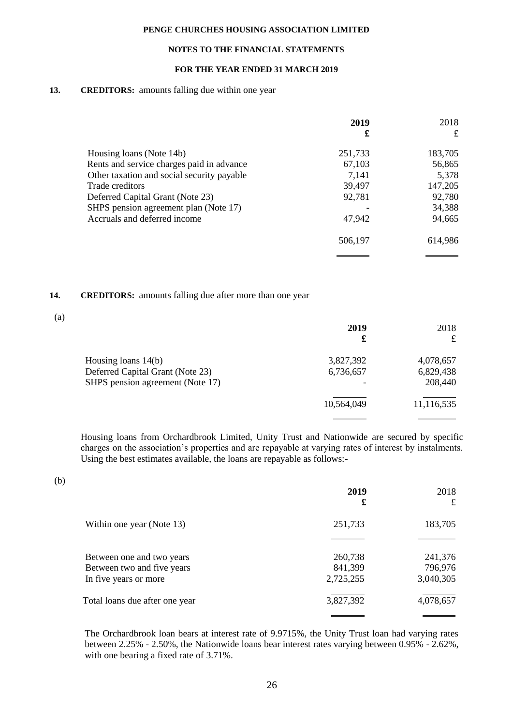# **NOTES TO THE FINANCIAL STATEMENTS**

# **FOR THE YEAR ENDED 31 MARCH 2019**

## 13. **CREDITORS:** amounts falling due within one year

|                                            | 2019    | 2018    |
|--------------------------------------------|---------|---------|
|                                            | £       | £       |
| Housing loans (Note 14b)                   | 251,733 | 183,705 |
| Rents and service charges paid in advance  | 67,103  | 56,865  |
| Other taxation and social security payable | 7,141   | 5,378   |
| Trade creditors                            | 39,497  | 147,205 |
| Deferred Capital Grant (Note 23)           | 92,781  | 92,780  |
| SHPS pension agreement plan (Note 17)      |         | 34,388  |
| Accruals and deferred income               | 47,942  | 94,665  |
|                                            | 506,197 | 614,986 |
|                                            |         |         |

# **14. CREDITORS:** amounts falling due after more than one year

|                                  | 2019<br>£  | 2018<br>£  |
|----------------------------------|------------|------------|
| Housing loans $14(b)$            | 3,827,392  | 4,078,657  |
| Deferred Capital Grant (Note 23) | 6,736,657  | 6,829,438  |
| SHPS pension agreement (Note 17) |            | 208,440    |
|                                  | 10,564,049 | 11,116,535 |
|                                  |            |            |

Housing loans from Orchardbrook Limited, Unity Trust and Nationwide are secured by specific charges on the association's properties and are repayable at varying rates of interest by instalments. Using the best estimates available, the loans are repayable as follows:-

(b)

(a)

|                                | 2019<br>£ | 2018<br>£ |
|--------------------------------|-----------|-----------|
| Within one year (Note 13)      | 251,733   | 183,705   |
|                                |           |           |
| Between one and two years      | 260,738   | 241,376   |
| Between two and five years     | 841,399   | 796,976   |
| In five years or more          | 2,725,255 | 3,040,305 |
| Total loans due after one year | 3,827,392 | 4,078,657 |
|                                |           |           |

The Orchardbrook loan bears at interest rate of 9.9715%, the Unity Trust loan had varying rates between 2.25% - 2.50%, the Nationwide loans bear interest rates varying between 0.95% - 2.62%, with one bearing a fixed rate of 3.71%.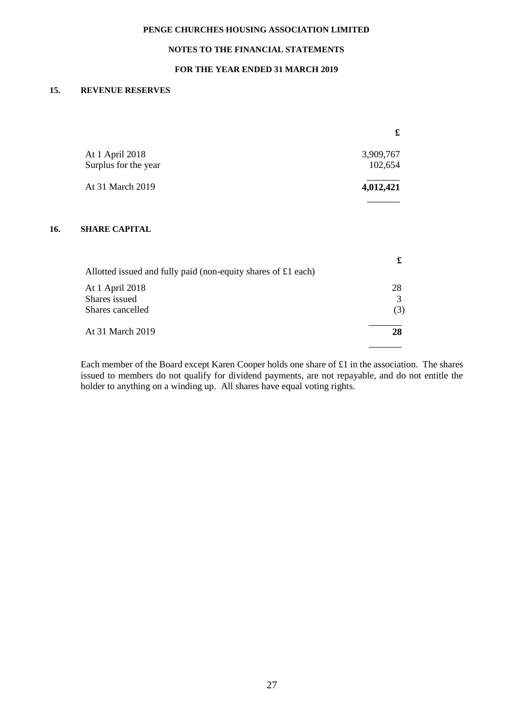# **NOTES TO THE FINANCIAL STATEMENTS**

# **FOR THE YEAR ENDED 31 MARCH 2019**

# **15. REVENUE RESERVES**

**16.** 

|                                                               | £         |
|---------------------------------------------------------------|-----------|
| At 1 April 2018                                               | 3,909,767 |
| Surplus for the year                                          | 102,654   |
| At 31 March 2019                                              | 4,012,421 |
| <b>SHARE CAPITAL</b>                                          |           |
| Allotted issued and fully paid (non-equity shares of £1 each) | £         |
| At 1 April 2018                                               | 28        |
| Shares issued                                                 | 3         |
| Shares cancelled                                              | (3)       |
| At 31 March 2019                                              | 28        |

Each member of the Board except Karen Cooper holds one share of £1 in the association. The shares issued to members do not qualify for dividend payments, are not repayable, and do not entitle the holder to anything on a winding up. All shares have equal voting rights.

 $\overline{a}$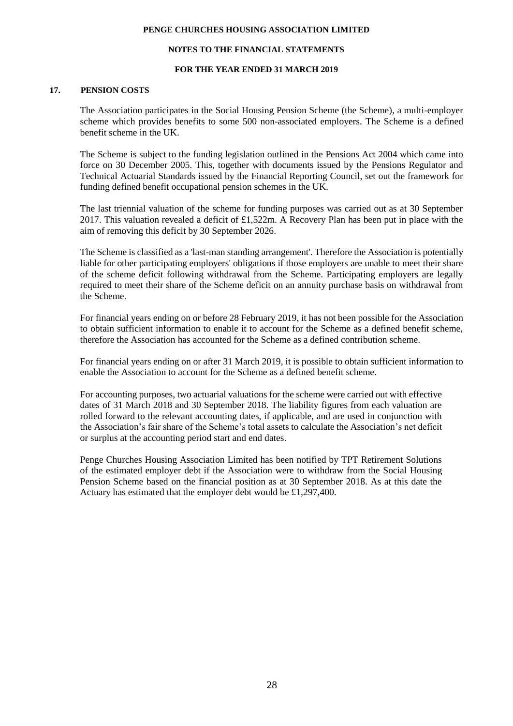#### **NOTES TO THE FINANCIAL STATEMENTS**

#### **FOR THE YEAR ENDED 31 MARCH 2019**

# **17. PENSION COSTS**

The Association participates in the Social Housing Pension Scheme (the Scheme), a multi-employer scheme which provides benefits to some 500 non-associated employers. The Scheme is a defined benefit scheme in the UK.

The Scheme is subject to the funding legislation outlined in the Pensions Act 2004 which came into force on 30 December 2005. This, together with documents issued by the Pensions Regulator and Technical Actuarial Standards issued by the Financial Reporting Council, set out the framework for funding defined benefit occupational pension schemes in the UK.

The last triennial valuation of the scheme for funding purposes was carried out as at 30 September 2017. This valuation revealed a deficit of £1,522m. A Recovery Plan has been put in place with the aim of removing this deficit by 30 September 2026.

The Scheme is classified as a 'last-man standing arrangement'. Therefore the Association is potentially liable for other participating employers' obligations if those employers are unable to meet their share of the scheme deficit following withdrawal from the Scheme. Participating employers are legally required to meet their share of the Scheme deficit on an annuity purchase basis on withdrawal from the Scheme.

For financial years ending on or before 28 February 2019, it has not been possible for the Association to obtain sufficient information to enable it to account for the Scheme as a defined benefit scheme, therefore the Association has accounted for the Scheme as a defined contribution scheme.

For financial years ending on or after 31 March 2019, it is possible to obtain sufficient information to enable the Association to account for the Scheme as a defined benefit scheme.

For accounting purposes, two actuarial valuations for the scheme were carried out with effective dates of 31 March 2018 and 30 September 2018. The liability figures from each valuation are rolled forward to the relevant accounting dates, if applicable, and are used in conjunction with the Association's fair share of the Scheme's total assets to calculate the Association's net deficit or surplus at the accounting period start and end dates.

Penge Churches Housing Association Limited has been notified by TPT Retirement Solutions of the estimated employer debt if the Association were to withdraw from the Social Housing Pension Scheme based on the financial position as at 30 September 2018. As at this date the Actuary has estimated that the employer debt would be £1,297,400.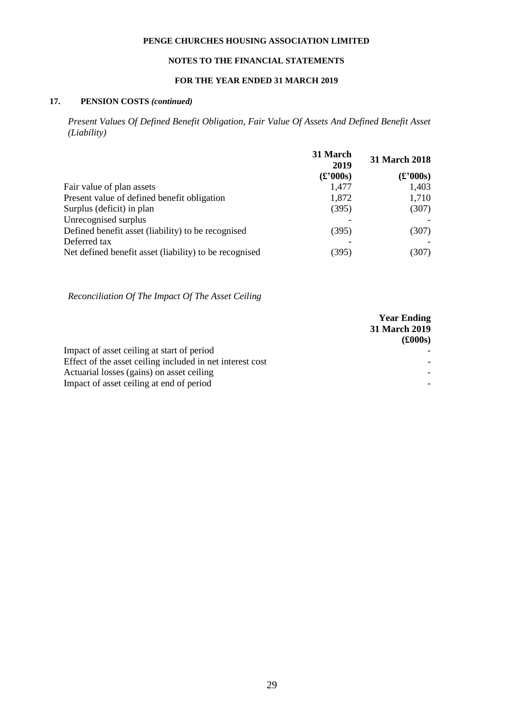# **NOTES TO THE FINANCIAL STATEMENTS**

# **FOR THE YEAR ENDED 31 MARCH 2019**

# **17. PENSION COSTS** *(continued)*

*Present Values Of Defined Benefit Obligation, Fair Value Of Assets And Defined Benefit Asset (Liability)*

|                                                        | 31 March<br>2019                                                          | 31 March 2018                       |
|--------------------------------------------------------|---------------------------------------------------------------------------|-------------------------------------|
|                                                        | $\left(\textcolor{blue}{\pounds}^2000\textcolor{blue}{\textbf{s}}\right)$ | $\mathbf{f}(\mathbf{f},\mathbf{f})$ |
| Fair value of plan assets                              | 1,477                                                                     | 1,403                               |
| Present value of defined benefit obligation            | 1,872                                                                     | 1,710                               |
| Surplus (deficit) in plan                              | (395)                                                                     | (307)                               |
| Unrecognised surplus                                   |                                                                           |                                     |
| Defined benefit asset (liability) to be recognised     | (395)                                                                     | (307)                               |
| Deferred tax                                           |                                                                           |                                     |
| Net defined benefit asset (liability) to be recognised | (395)                                                                     | (307)                               |

*Reconciliation Of The Impact Of The Asset Ceiling*

|                                                           | <b>Year Ending</b>   |  |
|-----------------------------------------------------------|----------------------|--|
|                                                           | <b>31 March 2019</b> |  |
|                                                           | $(\pounds000s)$      |  |
| Impact of asset ceiling at start of period                |                      |  |
| Effect of the asset ceiling included in net interest cost |                      |  |
| Actuarial losses (gains) on asset ceiling                 |                      |  |
| Impact of asset ceiling at end of period                  |                      |  |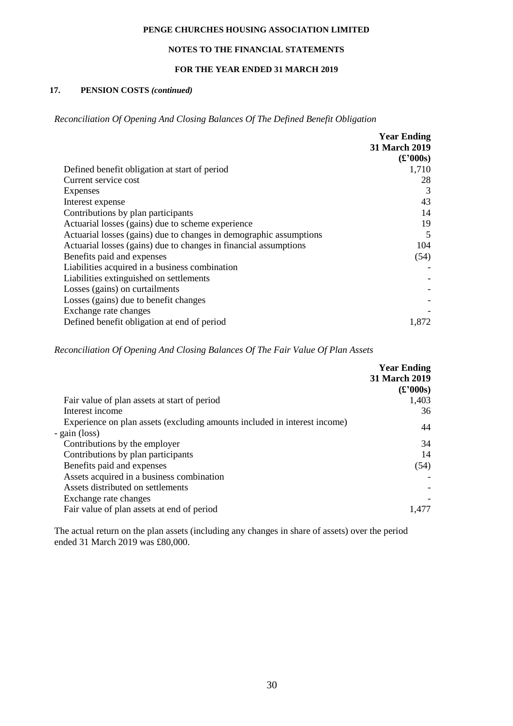# **NOTES TO THE FINANCIAL STATEMENTS**

# **FOR THE YEAR ENDED 31 MARCH 2019**

# **17. PENSION COSTS** *(continued)*

*Reconciliation Of Opening And Closing Balances Of The Defined Benefit Obligation*

|                                                                    | <b>Year Ending</b>                    |
|--------------------------------------------------------------------|---------------------------------------|
|                                                                    | 31 March 2019                         |
|                                                                    | $\mathbf{f}(\mathbf{f}^{\prime}000s)$ |
| Defined benefit obligation at start of period                      | 1,710                                 |
| Current service cost                                               | 28                                    |
| Expenses                                                           | 3                                     |
| Interest expense                                                   | 43                                    |
| Contributions by plan participants                                 | 14                                    |
| Actuarial losses (gains) due to scheme experience                  | 19                                    |
| Actuarial losses (gains) due to changes in demographic assumptions | 5                                     |
| Actuarial losses (gains) due to changes in financial assumptions   | 104                                   |
| Benefits paid and expenses                                         | (54)                                  |
| Liabilities acquired in a business combination                     |                                       |
| Liabilities extinguished on settlements                            |                                       |
| Losses (gains) on curtailments                                     |                                       |
| Losses (gains) due to benefit changes                              |                                       |
| Exchange rate changes                                              |                                       |
| Defined benefit obligation at end of period                        | 1,872                                 |

*Reconciliation Of Opening And Closing Balances Of The Fair Value Of Plan Assets*

|                                                                           | <b>Year Ending</b>                                             |
|---------------------------------------------------------------------------|----------------------------------------------------------------|
|                                                                           | <b>31 March 2019</b>                                           |
|                                                                           | $\mathbf{f}(\mathbf{f}^{\prime}\mathbf{0}^{\prime}\mathbf{0})$ |
| Fair value of plan assets at start of period                              | 1,403                                                          |
| Interest income                                                           | 36                                                             |
| Experience on plan assets (excluding amounts included in interest income) | 44                                                             |
| - gain (loss)                                                             |                                                                |
| Contributions by the employer                                             | 34                                                             |
| Contributions by plan participants                                        | 14                                                             |
| Benefits paid and expenses                                                | (54)                                                           |
| Assets acquired in a business combination                                 |                                                                |
| Assets distributed on settlements                                         |                                                                |
| Exchange rate changes                                                     |                                                                |
| Fair value of plan assets at end of period                                | 1.477                                                          |

The actual return on the plan assets (including any changes in share of assets) over the period ended 31 March 2019 was £80,000.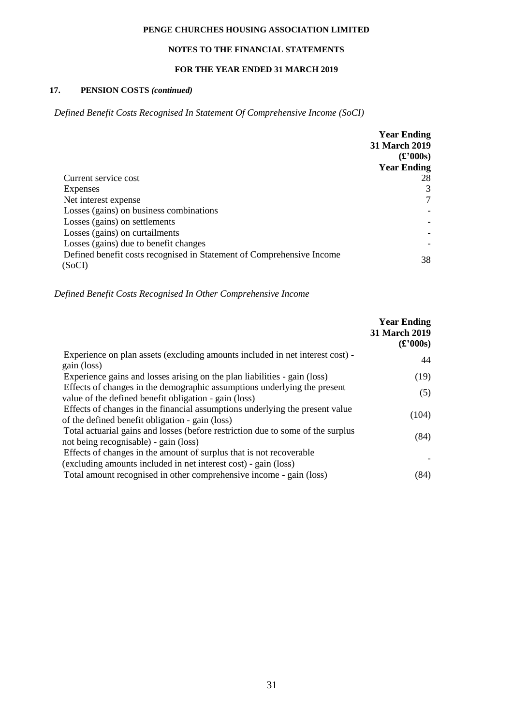# **NOTES TO THE FINANCIAL STATEMENTS**

## **FOR THE YEAR ENDED 31 MARCH 2019**

# **17. PENSION COSTS** *(continued)*

*Defined Benefit Costs Recognised In Statement Of Comprehensive Income (SoCI)*

|                                                                       | <b>Year Ending</b>                  |
|-----------------------------------------------------------------------|-------------------------------------|
|                                                                       | 31 March 2019                       |
|                                                                       | $\mathbf{f}(\mathbf{f},\mathbf{f})$ |
|                                                                       | <b>Year Ending</b>                  |
| Current service cost                                                  | 28                                  |
| Expenses                                                              | 3                                   |
| Net interest expense                                                  | 7                                   |
| Losses (gains) on business combinations                               |                                     |
| Losses (gains) on settlements                                         |                                     |
| Losses (gains) on curtailments                                        |                                     |
| Losses (gains) due to benefit changes                                 |                                     |
| Defined benefit costs recognised in Statement of Comprehensive Income | 38                                  |
| (SoCI)                                                                |                                     |

*Defined Benefit Costs Recognised In Other Comprehensive Income*

|                                                                                 | <b>Year Ending</b><br>31 March 2019<br>$\mathbf{f}(\mathbf{f},\mathbf{f})$ |
|---------------------------------------------------------------------------------|----------------------------------------------------------------------------|
| Experience on plan assets (excluding amounts included in net interest cost) -   | 44                                                                         |
| gain (loss)                                                                     |                                                                            |
| Experience gains and losses arising on the plan liabilities - gain (loss)       | (19)                                                                       |
| Effects of changes in the demographic assumptions underlying the present        | (5)                                                                        |
| value of the defined benefit obligation - gain (loss)                           |                                                                            |
| Effects of changes in the financial assumptions underlying the present value    | (104)                                                                      |
| of the defined benefit obligation - gain (loss)                                 |                                                                            |
| Total actuarial gains and losses (before restriction due to some of the surplus | (84)                                                                       |
| not being recognisable) - gain (loss)                                           |                                                                            |
| Effects of changes in the amount of surplus that is not recoverable             |                                                                            |
| (excluding amounts included in net interest cost) - gain (loss)                 |                                                                            |
| Total amount recognised in other comprehensive income - gain (loss)             | (84)                                                                       |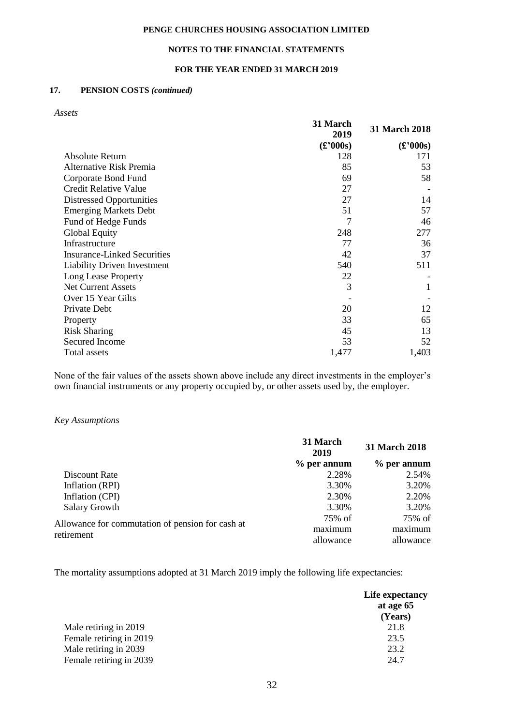# **NOTES TO THE FINANCIAL STATEMENTS**

## **FOR THE YEAR ENDED 31 MARCH 2019**

# **17. PENSION COSTS** *(continued)*

*Assets*

|                                    | 31 March<br>2019                    | <b>31 March 2018</b>                  |
|------------------------------------|-------------------------------------|---------------------------------------|
|                                    | $\mathbf{f}(\mathbf{f},\mathbf{f})$ | $\mathbf{f}(\mathbf{f}^{\prime}000s)$ |
| Absolute Return                    | 128                                 | 171                                   |
| Alternative Risk Premia            | 85                                  | 53                                    |
| Corporate Bond Fund                | 69                                  | 58                                    |
| <b>Credit Relative Value</b>       | 27                                  |                                       |
| <b>Distressed Opportunities</b>    | 27                                  | 14                                    |
| <b>Emerging Markets Debt</b>       | 51                                  | 57                                    |
| Fund of Hedge Funds                | 7                                   | 46                                    |
| <b>Global Equity</b>               | 248                                 | 277                                   |
| Infrastructure                     | 77                                  | 36                                    |
| <b>Insurance-Linked Securities</b> | 42                                  | 37                                    |
| <b>Liability Driven Investment</b> | 540                                 | 511                                   |
| Long Lease Property                | 22                                  |                                       |
| <b>Net Current Assets</b>          | 3                                   | 1                                     |
| Over 15 Year Gilts                 |                                     |                                       |
| Private Debt                       | 20                                  | 12                                    |
| Property                           | 33                                  | 65                                    |
| <b>Risk Sharing</b>                | 45                                  | 13                                    |
| Secured Income                     | 53                                  | 52                                    |
| Total assets                       | 1,477                               | 1,403                                 |

None of the fair values of the assets shown above include any direct investments in the employer's own financial instruments or any property occupied by, or other assets used by, the employer.

#### *Key Assumptions*

|                                                  | 31 March<br>2019 | 31 March 2018 |
|--------------------------------------------------|------------------|---------------|
|                                                  | $%$ per annum    | $%$ per annum |
| Discount Rate                                    | 2.28%            | 2.54%         |
| Inflation (RPI)                                  | 3.30%            | 3.20%         |
| Inflation (CPI)                                  | 2.30%            | 2.20%         |
| <b>Salary Growth</b>                             | 3.30%            | 3.20%         |
|                                                  | 75% of           | 75% of        |
| Allowance for commutation of pension for cash at | maximum          | maximum       |
| retirement                                       | allowance        | allowance     |

The mortality assumptions adopted at 31 March 2019 imply the following life expectancies:

|                         | Life expectancy |
|-------------------------|-----------------|
|                         | at age 65       |
|                         | (Years)         |
| Male retiring in 2019   | 21.8            |
| Female retiring in 2019 | 23.5            |
| Male retiring in 2039   | 23.2            |
| Female retiring in 2039 | 24.7            |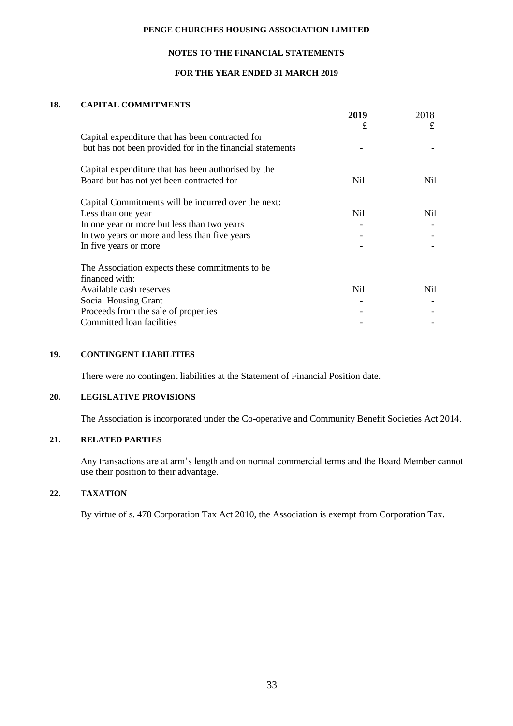# **NOTES TO THE FINANCIAL STATEMENTS**

## **FOR THE YEAR ENDED 31 MARCH 2019**

## **18. CAPITAL COMMITMENTS**

|                                                           | 2019 | 2018 |
|-----------------------------------------------------------|------|------|
|                                                           | £    | £    |
| Capital expenditure that has been contracted for          |      |      |
| but has not been provided for in the financial statements |      |      |
| Capital expenditure that has been authorised by the       |      |      |
| Board but has not yet been contracted for                 | Nil  | Nil. |
| Capital Commitments will be incurred over the next:       |      |      |
| Less than one year                                        | Nil  | Nil. |
| In one year or more but less than two years               |      |      |
| In two years or more and less than five years             |      |      |
| In five years or more                                     |      |      |
| The Association expects these commitments to be           |      |      |
| financed with:                                            |      |      |
| Available cash reserves                                   | Nil  | Nil. |
| <b>Social Housing Grant</b>                               |      |      |
| Proceeds from the sale of properties                      |      |      |
| Committed loan facilities                                 |      |      |

# **19. CONTINGENT LIABILITIES**

There were no contingent liabilities at the Statement of Financial Position date.

#### **20. LEGISLATIVE PROVISIONS**

The Association is incorporated under the Co-operative and Community Benefit Societies Act 2014.

# **21. RELATED PARTIES**

Any transactions are at arm's length and on normal commercial terms and the Board Member cannot use their position to their advantage.

# **22. TAXATION**

By virtue of s. 478 Corporation Tax Act 2010, the Association is exempt from Corporation Tax.